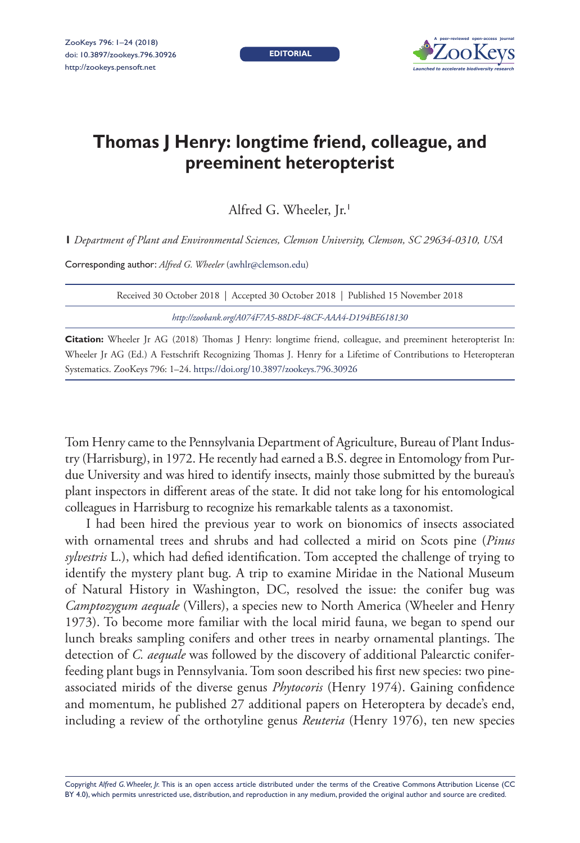**EDITORIAL**



# **Thomas J Henry: longtime friend, colleague, and preeminent heteropterist**

Alfred G. Wheeler, Jr.<sup>1</sup>

**1** *Department of Plant and Environmental Sciences, Clemson University, Clemson, SC 29634-0310, USA*

Corresponding author: *Alfred G. Wheeler* [\(awhlr@clemson.edu\)](mailto:awhlr@clemson.edu)

| Received 30 October 2018   Accepted 30 October 2018   Published 15 November 2018 |  |  |  |  |  |  |  |  |  |  |  |
|----------------------------------------------------------------------------------|--|--|--|--|--|--|--|--|--|--|--|
| http://zoobank.org/A074F7A5-88DF-48CF-AAA4-D194BE618130                          |  |  |  |  |  |  |  |  |  |  |  |
|                                                                                  |  |  |  |  |  |  |  |  |  |  |  |

**Citation:** Wheeler Jr AG (2018) Thomas J Henry: longtime friend, colleague, and preeminent heteropterist In: Wheeler Jr AG (Ed.) A Festschrift Recognizing Thomas J. Henry for a Lifetime of Contributions to Heteropteran Systematics. ZooKeys 796: 1–24.<https://doi.org/10.3897/zookeys.796.30926>

Tom Henry came to the Pennsylvania Department of Agriculture, Bureau of Plant Industry (Harrisburg), in 1972. He recently had earned a B.S. degree in Entomology from Purdue University and was hired to identify insects, mainly those submitted by the bureau's plant inspectors in different areas of the state. It did not take long for his entomological colleagues in Harrisburg to recognize his remarkable talents as a taxonomist.

I had been hired the previous year to work on bionomics of insects associated with ornamental trees and shrubs and had collected a mirid on Scots pine (*Pinus sylvestris* L.), which had defied identification. Tom accepted the challenge of trying to identify the mystery plant bug. A trip to examine Miridae in the National Museum of Natural History in Washington, DC, resolved the issue: the conifer bug was *Camptozygum aequale* (Villers), a species new to North America (Wheeler and Henry 1973). To become more familiar with the local mirid fauna, we began to spend our lunch breaks sampling conifers and other trees in nearby ornamental plantings. The detection of *C. aequale* was followed by the discovery of additional Palearctic coniferfeeding plant bugs in Pennsylvania. Tom soon described his first new species: two pineassociated mirids of the diverse genus *Phytocoris* (Henry 1974). Gaining confidence and momentum, he published 27 additional papers on Heteroptera by decade's end, including a review of the orthotyline genus *Reuteria* (Henry 1976), ten new species

Copyright *Alfred G. Wheeler, Jr.* This is an open access article distributed under the terms of the [Creative Commons Attribution License \(CC](http://creativecommons.org/licenses/by/4.0/)  [BY 4.0\)](http://creativecommons.org/licenses/by/4.0/), which permits unrestricted use, distribution, and reproduction in any medium, provided the original author and source are credited.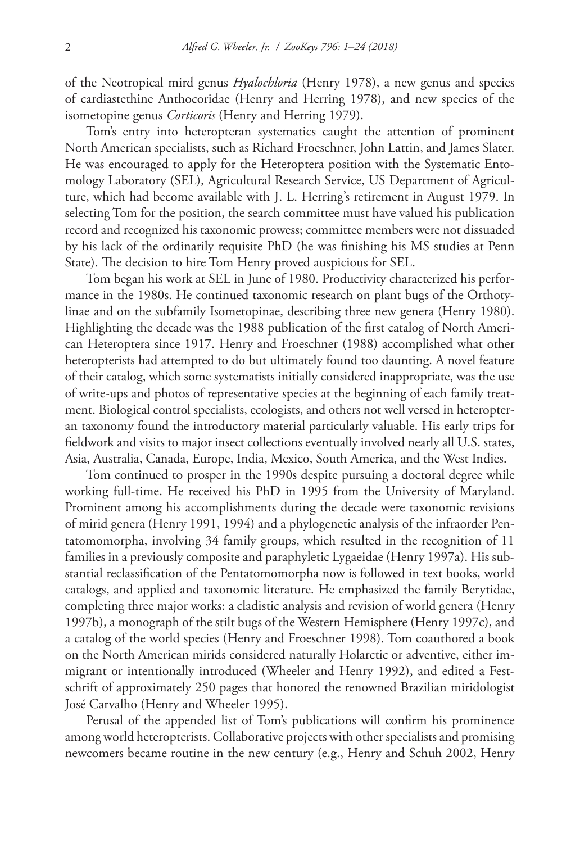of the Neotropical mird genus *Hyalochloria* (Henry 1978), a new genus and species of cardiastethine Anthocoridae (Henry and Herring 1978), and new species of the isometopine genus *Corticoris* (Henry and Herring 1979).

Tom's entry into heteropteran systematics caught the attention of prominent North American specialists, such as Richard Froeschner, John Lattin, and James Slater. He was encouraged to apply for the Heteroptera position with the Systematic Entomology Laboratory (SEL), Agricultural Research Service, US Department of Agriculture, which had become available with J. L. Herring's retirement in August 1979. In selecting Tom for the position, the search committee must have valued his publication record and recognized his taxonomic prowess; committee members were not dissuaded by his lack of the ordinarily requisite PhD (he was finishing his MS studies at Penn State). The decision to hire Tom Henry proved auspicious for SEL.

Tom began his work at SEL in June of 1980. Productivity characterized his performance in the 1980s. He continued taxonomic research on plant bugs of the Orthotylinae and on the subfamily Isometopinae, describing three new genera (Henry 1980). Highlighting the decade was the 1988 publication of the first catalog of North American Heteroptera since 1917. Henry and Froeschner (1988) accomplished what other heteropterists had attempted to do but ultimately found too daunting. A novel feature of their catalog, which some systematists initially considered inappropriate, was the use of write-ups and photos of representative species at the beginning of each family treatment. Biological control specialists, ecologists, and others not well versed in heteropteran taxonomy found the introductory material particularly valuable. His early trips for fieldwork and visits to major insect collections eventually involved nearly all U.S. states, Asia, Australia, Canada, Europe, India, Mexico, South America, and the West Indies.

Tom continued to prosper in the 1990s despite pursuing a doctoral degree while working full-time. He received his PhD in 1995 from the University of Maryland. Prominent among his accomplishments during the decade were taxonomic revisions of mirid genera (Henry 1991, 1994) and a phylogenetic analysis of the infraorder Pentatomomorpha, involving 34 family groups, which resulted in the recognition of 11 families in a previously composite and paraphyletic Lygaeidae (Henry 1997a). His substantial reclassification of the Pentatomomorpha now is followed in text books, world catalogs, and applied and taxonomic literature. He emphasized the family Berytidae, completing three major works: a cladistic analysis and revision of world genera (Henry 1997b), a monograph of the stilt bugs of the Western Hemisphere (Henry 1997c), and a catalog of the world species (Henry and Froeschner 1998). Tom coauthored a book on the North American mirids considered naturally Holarctic or adventive, either immigrant or intentionally introduced (Wheeler and Henry 1992), and edited a Festschrift of approximately 250 pages that honored the renowned Brazilian miridologist José Carvalho (Henry and Wheeler 1995).

Perusal of the appended list of Tom's publications will confirm his prominence among world heteropterists. Collaborative projects with other specialists and promising newcomers became routine in the new century (e.g., Henry and Schuh 2002, Henry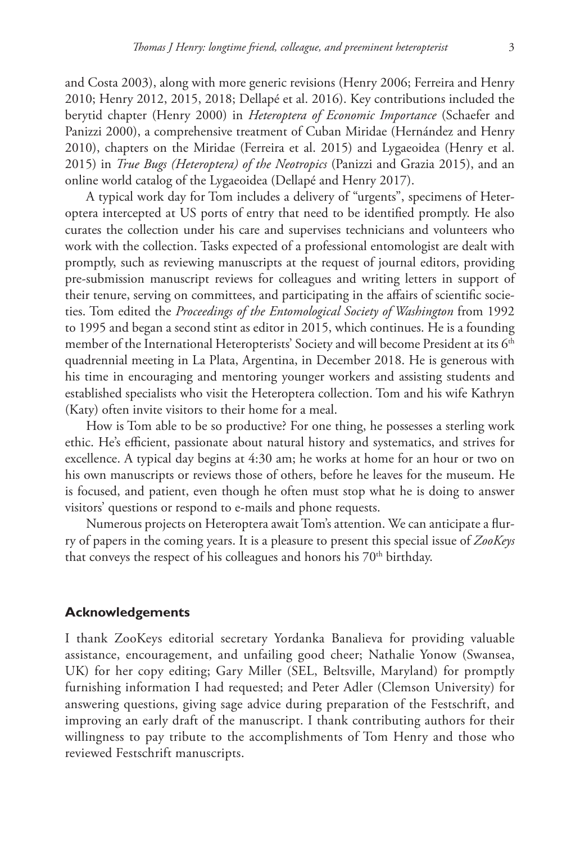and Costa 2003), along with more generic revisions (Henry 2006; Ferreira and Henry 2010; Henry 2012, 2015, 2018; Dellapé et al. 2016). Key contributions included the berytid chapter (Henry 2000) in *Heteroptera of Economic Importance* (Schaefer and Panizzi 2000), a comprehensive treatment of Cuban Miridae (Hernández and Henry 2010), chapters on the Miridae (Ferreira et al. 2015) and Lygaeoidea (Henry et al. 2015) in *True Bugs (Heteroptera) of the Neotropics* (Panizzi and Grazia 2015), and an online world catalog of the Lygaeoidea (Dellapé and Henry 2017).

A typical work day for Tom includes a delivery of "urgents", specimens of Heteroptera intercepted at US ports of entry that need to be identified promptly. He also curates the collection under his care and supervises technicians and volunteers who work with the collection. Tasks expected of a professional entomologist are dealt with promptly, such as reviewing manuscripts at the request of journal editors, providing pre-submission manuscript reviews for colleagues and writing letters in support of their tenure, serving on committees, and participating in the affairs of scientific societies. Tom edited the *Proceedings of the Entomological Society of Washington* from 1992 to 1995 and began a second stint as editor in 2015, which continues. He is a founding member of the International Heteropterists' Society and will become President at its 6<sup>th</sup> quadrennial meeting in La Plata, Argentina, in December 2018. He is generous with his time in encouraging and mentoring younger workers and assisting students and established specialists who visit the Heteroptera collection. Tom and his wife Kathryn (Katy) often invite visitors to their home for a meal.

How is Tom able to be so productive? For one thing, he possesses a sterling work ethic. He's efficient, passionate about natural history and systematics, and strives for excellence. A typical day begins at 4:30 am; he works at home for an hour or two on his own manuscripts or reviews those of others, before he leaves for the museum. He is focused, and patient, even though he often must stop what he is doing to answer visitors' questions or respond to e-mails and phone requests.

Numerous projects on Heteroptera await Tom's attention. We can anticipate a flurry of papers in the coming years. It is a pleasure to present this special issue of *ZooKeys* that conveys the respect of his colleagues and honors his  $70<sup>th</sup>$  birthday.

#### **Acknowledgements**

I thank ZooKeys editorial secretary Yordanka Banalieva for providing valuable assistance, encouragement, and unfailing good cheer; Nathalie Yonow (Swansea, UK) for her copy editing; Gary Miller (SEL, Beltsville, Maryland) for promptly furnishing information I had requested; and Peter Adler (Clemson University) for answering questions, giving sage advice during preparation of the Festschrift, and improving an early draft of the manuscript. I thank contributing authors for their willingness to pay tribute to the accomplishments of Tom Henry and those who reviewed Festschrift manuscripts.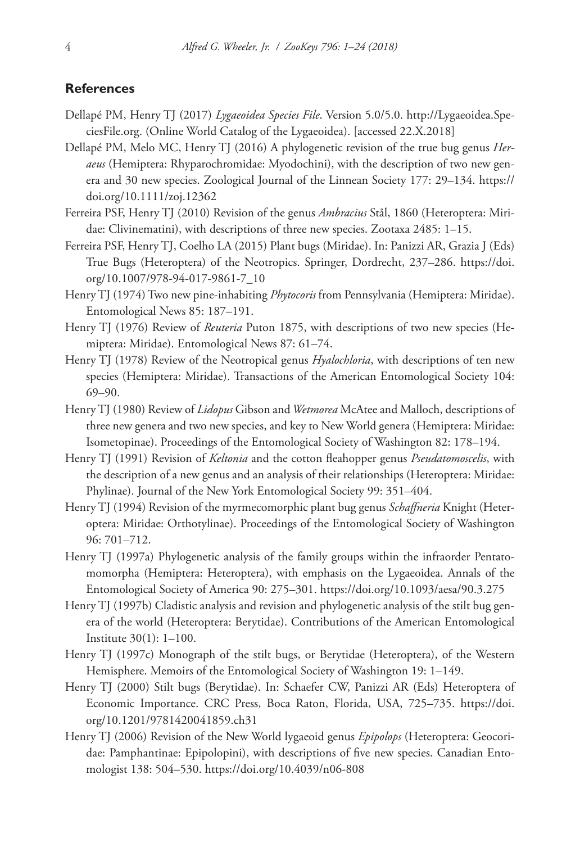#### **References**

- Dellapé PM, Henry TJ (2017) *Lygaeoidea Species File*. Version 5.0/5.0. [http://Lygaeoidea.Spe](http://Lygaeoidea.SpeciesFile.org)[ciesFile.org](http://Lygaeoidea.SpeciesFile.org). (Online World Catalog of the Lygaeoidea). [accessed 22.X.2018]
- Dellapé PM, Melo MC, Henry TJ (2016) A phylogenetic revision of the true bug genus *Heraeus* (Hemiptera: Rhyparochromidae: Myodochini), with the description of two new genera and 30 new species. Zoological Journal of the Linnean Society 177: 29–134. [https://](https://doi.org/10.1111/zoj.12362) [doi.org/10.1111/zoj.12362](https://doi.org/10.1111/zoj.12362)
- Ferreira PSF, Henry TJ (2010) Revision of the genus *Ambracius* Stål, 1860 (Heteroptera: Miridae: Clivinematini), with descriptions of three new species. Zootaxa 2485: 1–15.
- Ferreira PSF, Henry TJ, Coelho LA (2015) Plant bugs (Miridae). In: Panizzi AR, Grazia J (Eds) True Bugs (Heteroptera) of the Neotropics. Springer, Dordrecht, 237–286. [https://doi.](https://doi.org/10.1007/978-94-017-9861-7_10) [org/10.1007/978-94-017-9861-7\\_10](https://doi.org/10.1007/978-94-017-9861-7_10)
- Henry TJ (1974) Two new pine-inhabiting *Phytocoris* from Pennsylvania (Hemiptera: Miridae). Entomological News 85: 187–191.
- Henry TJ (1976) Review of *Reuteria* Puton 1875, with descriptions of two new species (Hemiptera: Miridae). Entomological News 87: 61–74.
- Henry TJ (1978) Review of the Neotropical genus *Hyalochloria*, with descriptions of ten new species (Hemiptera: Miridae). Transactions of the American Entomological Society 104: 69–90.
- Henry TJ (1980) Review of *Lidopus* Gibson and *Wetmorea* McAtee and Malloch, descriptions of three new genera and two new species, and key to New World genera (Hemiptera: Miridae: Isometopinae). Proceedings of the Entomological Society of Washington 82: 178–194.
- Henry TJ (1991) Revision of *Keltonia* and the cotton fleahopper genus *Pseudatomoscelis*, with the description of a new genus and an analysis of their relationships (Heteroptera: Miridae: Phylinae). Journal of the New York Entomological Society 99: 351–404.
- Henry TJ (1994) Revision of the myrmecomorphic plant bug genus *Schaffneria* Knight (Heteroptera: Miridae: Orthotylinae). Proceedings of the Entomological Society of Washington 96: 701–712.
- Henry TJ (1997a) Phylogenetic analysis of the family groups within the infraorder Pentatomomorpha (Hemiptera: Heteroptera), with emphasis on the Lygaeoidea. Annals of the Entomological Society of America 90: 275–301.<https://doi.org/10.1093/aesa/90.3.275>
- Henry TJ (1997b) Cladistic analysis and revision and phylogenetic analysis of the stilt bug genera of the world (Heteroptera: Berytidae). Contributions of the American Entomological Institute 30(1): 1–100.
- Henry TJ (1997c) Monograph of the stilt bugs, or Berytidae (Heteroptera), of the Western Hemisphere. Memoirs of the Entomological Society of Washington 19: 1–149.
- Henry TJ (2000) Stilt bugs (Berytidae). In: Schaefer CW, Panizzi AR (Eds) Heteroptera of Economic Importance. CRC Press, Boca Raton, Florida, USA, 725–735. [https://doi.](https://doi.org/10.1201/9781420041859.ch31) [org/10.1201/9781420041859.ch31](https://doi.org/10.1201/9781420041859.ch31)
- Henry TJ (2006) Revision of the New World lygaeoid genus *Epipolops* (Heteroptera: Geocoridae: Pamphantinae: Epipolopini), with descriptions of five new species. Canadian Entomologist 138: 504–530.<https://doi.org/10.4039/n06-808>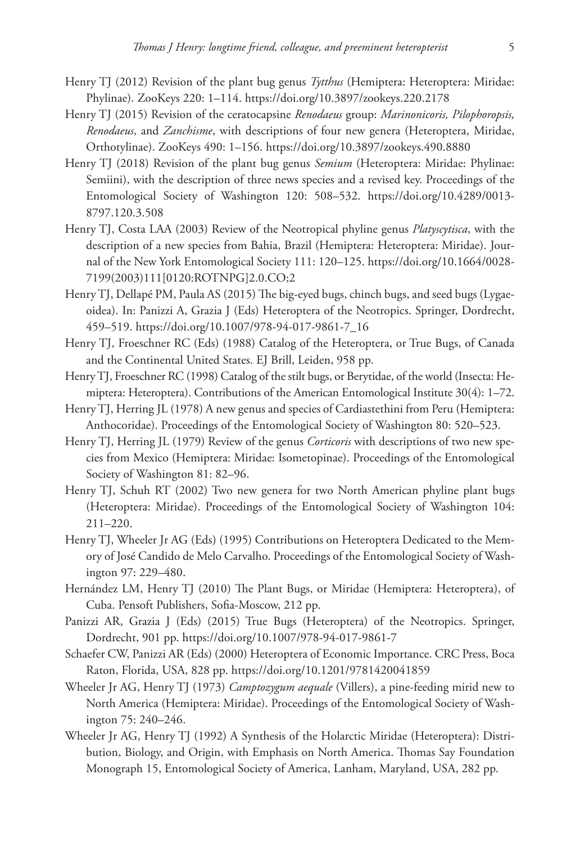- Henry TJ (2012) Revision of the plant bug genus *Tytthus* (Hemiptera: Heteroptera: Miridae: Phylinae). ZooKeys 220: 1–114. <https://doi.org/10.3897/zookeys.220.2178>
- Henry TJ (2015) Revision of the ceratocapsine *Renodaeus* group: *Marinonicoris, Pilophoropsis, Renodaeus*, and *Zanchisme*, with descriptions of four new genera (Heteroptera, Miridae, Orthotylinae). ZooKeys 490: 1–156. <https://doi.org/10.3897/zookeys.490.8880>
- Henry TJ (2018) Revision of the plant bug genus *Semium* (Heteroptera: Miridae: Phylinae: Semiini), with the description of three news species and a revised key. Proceedings of the Entomological Society of Washington 120: 508–532. [https://doi.org/10.4289/0013-](https://doi.org/10.4289/0013-8797.120.3.508) [8797.120.3.508](https://doi.org/10.4289/0013-8797.120.3.508)
- Henry TJ, Costa LAA (2003) Review of the Neotropical phyline genus *Platyscytisca*, with the description of a new species from Bahia, Brazil (Hemiptera: Heteroptera: Miridae). Journal of the New York Entomological Society 111: 120–125. [https://doi.org/10.1664/0028-](https://doi.org/10.1664/0028-7199(2003)111%5B0120:ROTNPG%5D2.0.CO;2) [7199\(2003\)111\[0120:ROTNPG\]2.0.CO;2](https://doi.org/10.1664/0028-7199(2003)111%5B0120:ROTNPG%5D2.0.CO;2)
- Henry TJ, Dellapé PM, Paula AS (2015) The big-eyed bugs, chinch bugs, and seed bugs (Lygaeoidea). In: Panizzi A, Grazia J (Eds) Heteroptera of the Neotropics. Springer, Dordrecht, 459–519. [https://doi.org/10.1007/978-94-017-9861-7\\_16](https://doi.org/10.1007/978-94-017-9861-7_16)
- Henry TJ, Froeschner RC (Eds) (1988) Catalog of the Heteroptera, or True Bugs, of Canada and the Continental United States. EJ Brill, Leiden, 958 pp.
- Henry TJ, Froeschner RC (1998) Catalog of the stilt bugs, or Berytidae, of the world (Insecta: Hemiptera: Heteroptera). Contributions of the American Entomological Institute 30(4): 1–72.
- Henry TJ, Herring JL (1978) A new genus and species of Cardiastethini from Peru (Hemiptera: Anthocoridae). Proceedings of the Entomological Society of Washington 80: 520–523.
- Henry TJ, Herring JL (1979) Review of the genus *Corticoris* with descriptions of two new species from Mexico (Hemiptera: Miridae: Isometopinae). Proceedings of the Entomological Society of Washington 81: 82–96.
- Henry TJ, Schuh RT (2002) Two new genera for two North American phyline plant bugs (Heteroptera: Miridae). Proceedings of the Entomological Society of Washington 104: 211–220.
- Henry TJ, Wheeler Jr AG (Eds) (1995) Contributions on Heteroptera Dedicated to the Memory of José Candido de Melo Carvalho. Proceedings of the Entomological Society of Washington 97: 229–480.
- Hernández LM, Henry TJ (2010) The Plant Bugs, or Miridae (Hemiptera: Heteroptera), of Cuba. Pensoft Publishers, Sofia-Moscow, 212 pp.
- Panizzi AR, Grazia J (Eds) (2015) True Bugs (Heteroptera) of the Neotropics. Springer, Dordrecht, 901 pp.<https://doi.org/10.1007/978-94-017-9861-7>
- Schaefer CW, Panizzi AR (Eds) (2000) Heteroptera of Economic Importance. CRC Press, Boca Raton, Florida, USA, 828 pp. <https://doi.org/10.1201/9781420041859>
- Wheeler Jr AG, Henry TJ (1973) *Camptozygum aequale* (Villers), a pine-feeding mirid new to North America (Hemiptera: Miridae). Proceedings of the Entomological Society of Washington 75: 240–246.
- Wheeler Jr AG, Henry TJ (1992) A Synthesis of the Holarctic Miridae (Heteroptera): Distribution, Biology, and Origin, with Emphasis on North America. Thomas Say Foundation Monograph 15, Entomological Society of America, Lanham, Maryland, USA, 282 pp.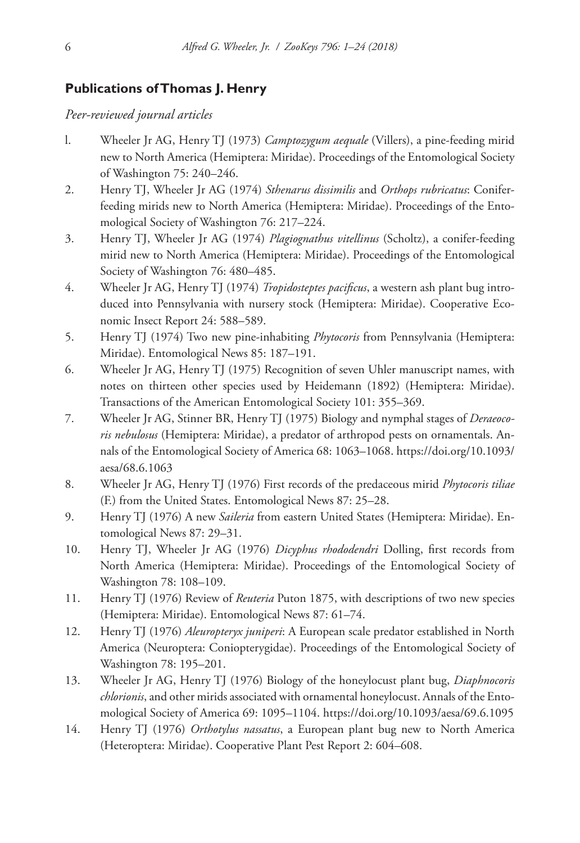## **Publications of Thomas J. Henry**

*Peer-reviewed journal articles*

- l. Wheeler Jr AG, Henry TJ (1973) *Camptozygum aequale* (Villers), a pine-feeding mirid new to North America (Hemiptera: Miridae). Proceedings of the Entomological Society of Washington 75: 240–246.
- 2. Henry TJ, Wheeler Jr AG (1974) *Sthenarus dissimilis* and *Orthops rubricatus*: Coniferfeeding mirids new to North America (Hemiptera: Miridae). Proceedings of the Entomological Society of Washington 76: 217–224.
- 3. Henry TJ, Wheeler Jr AG (1974) *Plagiognathus vitellinus* (Scholtz), a conifer-feeding mirid new to North America (Hemiptera: Miridae). Proceedings of the Entomological Society of Washington 76: 480–485.
- 4. Wheeler Jr AG, Henry TJ (1974) *Tropidosteptes pacificus*, a western ash plant bug introduced into Pennsylvania with nursery stock (Hemiptera: Miridae). Cooperative Economic Insect Report 24: 588–589.
- 5. Henry TJ (1974) Two new pine-inhabiting *Phytocoris* from Pennsylvania (Hemiptera: Miridae). Entomological News 85: 187–191.
- 6. Wheeler Jr AG, Henry TJ (1975) Recognition of seven Uhler manuscript names, with notes on thirteen other species used by Heidemann (1892) (Hemiptera: Miridae). Transactions of the American Entomological Society 101: 355–369.
- 7. Wheeler Jr AG, Stinner BR, Henry TJ (1975) Biology and nymphal stages of *Deraeocoris nebulosus* (Hemiptera: Miridae), a predator of arthropod pests on ornamentals. Annals of the Entomological Society of America 68: 1063–1068. [https://doi.org/10.1093/](https://doi.org/10.1093/aesa/68.6.1063) [aesa/68.6.1063](https://doi.org/10.1093/aesa/68.6.1063)
- 8. Wheeler Jr AG, Henry TJ (1976) First records of the predaceous mirid *Phytocoris tiliae*  (F.) from the United States. Entomological News 87: 25–28.
- 9. Henry TJ (1976) A new *Saileria* from eastern United States (Hemiptera: Miridae). Entomological News 87: 29–31.
- 10. Henry TJ, Wheeler Jr AG (1976) *Dicyphus rhododendri* Dolling, first records from North America (Hemiptera: Miridae). Proceedings of the Entomological Society of Washington 78: 108–109.
- 11. Henry TJ (1976) Review of *Reuteria* Puton 1875, with descriptions of two new species (Hemiptera: Miridae). Entomological News 87: 61–74.
- 12. Henry TJ (1976) *Aleuropteryx juniperi*: A European scale predator established in North America (Neuroptera: Coniopterygidae). Proceedings of the Entomological Society of Washington 78: 195–201.
- 13. Wheeler Jr AG, Henry TJ (1976) Biology of the honeylocust plant bug, *Diaphnocoris chlorionis*, and other mirids associated with ornamental honeylocust. Annals of the Entomological Society of America 69: 1095–1104. <https://doi.org/10.1093/aesa/69.6.1095>
- 14. Henry TJ (1976) *Orthotylus nassatus*, a European plant bug new to North America (Heteroptera: Miridae). Cooperative Plant Pest Report 2: 604–608.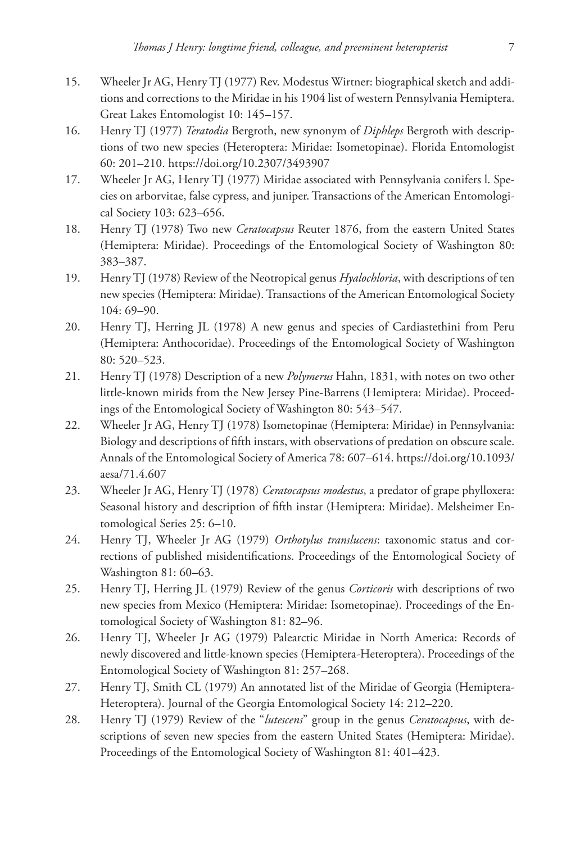- 15. Wheeler Jr AG, Henry TJ (1977) Rev. Modestus Wirtner: biographical sketch and additions and corrections to the Miridae in his 1904 list of western Pennsylvania Hemiptera. Great Lakes Entomologist 10: 145–157.
- 16. Henry TJ (1977) *Teratodia* Bergroth, new synonym of *Diphleps* Bergroth with descriptions of two new species (Heteroptera: Miridae: Isometopinae). Florida Entomologist 60: 201–210. <https://doi.org/10.2307/3493907>
- 17. Wheeler Jr AG, Henry TJ (1977) Miridae associated with Pennsylvania conifers l. Species on arborvitae, false cypress, and juniper. Transactions of the American Entomological Society 103: 623–656.
- 18. Henry TJ (1978) Two new *Ceratocapsus* Reuter 1876, from the eastern United States (Hemiptera: Miridae). Proceedings of the Entomological Society of Washington 80: 383–387.
- 19. Henry TJ (1978) Review of the Neotropical genus *Hyalochloria*, with descriptions of ten new species (Hemiptera: Miridae). Transactions of the American Entomological Society 104: 69–90.
- 20. Henry TJ, Herring JL (1978) A new genus and species of Cardiastethini from Peru (Hemiptera: Anthocoridae). Proceedings of the Entomological Society of Washington 80: 520–523.
- 21. Henry TJ (1978) Description of a new *Polymerus* Hahn, 1831, with notes on two other little-known mirids from the New Jersey Pine-Barrens (Hemiptera: Miridae). Proceedings of the Entomological Society of Washington 80: 543–547.
- 22. Wheeler Jr AG, Henry TJ (1978) Isometopinae (Hemiptera: Miridae) in Pennsylvania: Biology and descriptions of fifth instars, with observations of predation on obscure scale. Annals of the Entomological Society of America 78: 607–614. [https://doi.org/10.1093/](https://doi.org/10.1093/aesa/71.4.607) [aesa/71.4.607](https://doi.org/10.1093/aesa/71.4.607)
- 23. Wheeler Jr AG, Henry TJ (1978) *Ceratocapsus modestus*, a predator of grape phylloxera: Seasonal history and description of fifth instar (Hemiptera: Miridae). Melsheimer Entomological Series 25: 6–10.
- 24. Henry TJ, Wheeler Jr AG (1979) *Orthotylus translucens*: taxonomic status and corrections of published misidentifications. Proceedings of the Entomological Society of Washington 81: 60–63.
- 25. Henry TJ, Herring JL (1979) Review of the genus *Corticoris* with descriptions of two new species from Mexico (Hemiptera: Miridae: Isometopinae). Proceedings of the Entomological Society of Washington 81: 82–96.
- 26. Henry TJ, Wheeler Jr AG (1979) Palearctic Miridae in North America: Records of newly discovered and little-known species (Hemiptera-Heteroptera). Proceedings of the Entomological Society of Washington 81: 257–268.
- 27. Henry TJ, Smith CL (1979) An annotated list of the Miridae of Georgia (Hemiptera-Heteroptera). Journal of the Georgia Entomological Society 14: 212–220.
- 28. Henry TJ (1979) Review of the "*lutescens*" group in the genus *Ceratocapsus*, with descriptions of seven new species from the eastern United States (Hemiptera: Miridae). Proceedings of the Entomological Society of Washington 81: 401–423.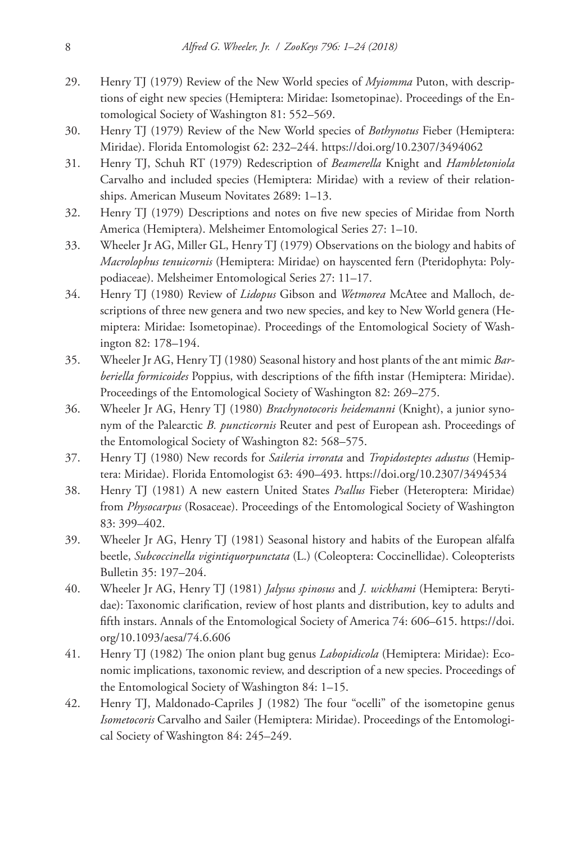- 29. Henry TJ (1979) Review of the New World species of *Myiomma* Puton, with descriptions of eight new species (Hemiptera: Miridae: Isometopinae). Proceedings of the Entomological Society of Washington 81: 552–569.
- 30. Henry TJ (1979) Review of the New World species of *Bothynotus* Fieber (Hemiptera: Miridae). Florida Entomologist 62: 232–244.<https://doi.org/10.2307/3494062>
- 31. Henry TJ, Schuh RT (1979) Redescription of *Beamerella* Knight and *Hambletoniola* Carvalho and included species (Hemiptera: Miridae) with a review of their relationships. American Museum Novitates 2689: 1–13.
- 32. Henry TJ (1979) Descriptions and notes on five new species of Miridae from North America (Hemiptera). Melsheimer Entomological Series 27: 1–10.
- 33. Wheeler Jr AG, Miller GL, Henry TJ (1979) Observations on the biology and habits of *Macrolophus tenuicornis* (Hemiptera: Miridae) on hayscented fern (Pteridophyta: Polypodiaceae). Melsheimer Entomological Series 27: 11–17.
- 34. Henry TJ (1980) Review of *Lidopus* Gibson and *Wetmorea* McAtee and Malloch, descriptions of three new genera and two new species, and key to New World genera (Hemiptera: Miridae: Isometopinae). Proceedings of the Entomological Society of Washington 82: 178–194.
- 35. Wheeler Jr AG, Henry TJ (1980) Seasonal history and host plants of the ant mimic *Barberiella formicoides* Poppius, with descriptions of the fifth instar (Hemiptera: Miridae). Proceedings of the Entomological Society of Washington 82: 269–275.
- 36. Wheeler Jr AG, Henry TJ (1980) *Brachynotocoris heidemanni* (Knight), a junior synonym of the Palearctic *B. puncticornis* Reuter and pest of European ash. Proceedings of the Entomological Society of Washington 82: 568–575.
- 37. Henry TJ (1980) New records for *Saileria irrorata* and *Tropidosteptes adustus* (Hemiptera: Miridae). Florida Entomologist 63: 490–493. <https://doi.org/10.2307/3494534>
- 38. Henry TJ (1981) A new eastern United States *Psallus* Fieber (Heteroptera: Miridae) from *Physocarpus* (Rosaceae). Proceedings of the Entomological Society of Washington 83: 399–402.
- 39. Wheeler Jr AG, Henry TJ (1981) Seasonal history and habits of the European alfalfa beetle, *Subcoccinella vigintiquorpunctata* (L.) (Coleoptera: Coccinellidae). Coleopterists Bulletin 35: 197–204.
- 40. Wheeler Jr AG, Henry TJ (1981) *Jalysus spinosus* and *J. wickhami* (Hemiptera: Berytidae): Taxonomic clarification, review of host plants and distribution, key to adults and fifth instars. Annals of the Entomological Society of America 74: 606–615. [https://doi.](https://doi.org/10.1093/aesa/74.6.606) [org/10.1093/aesa/74.6.606](https://doi.org/10.1093/aesa/74.6.606)
- 41. Henry TJ (1982) The onion plant bug genus *Labopidicola* (Hemiptera: Miridae): Economic implications, taxonomic review, and description of a new species. Proceedings of the Entomological Society of Washington 84: 1–15.
- 42. Henry TJ, Maldonado-Capriles J (1982) The four "ocelli" of the isometopine genus *Isometocoris* Carvalho and Sailer (Hemiptera: Miridae). Proceedings of the Entomological Society of Washington 84: 245–249.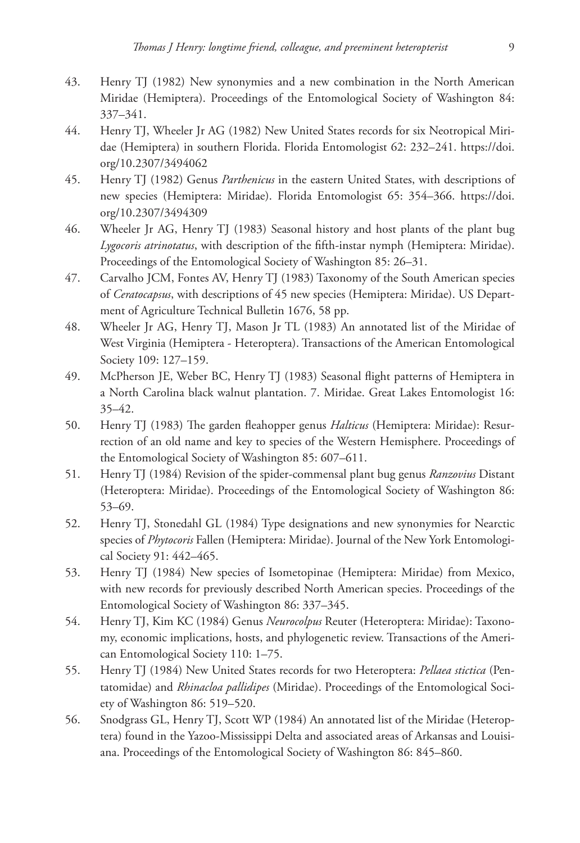- 43. Henry TJ (1982) New synonymies and a new combination in the North American Miridae (Hemiptera). Proceedings of the Entomological Society of Washington 84: 337–341.
- 44. Henry TJ, Wheeler Jr AG (1982) New United States records for six Neotropical Miridae (Hemiptera) in southern Florida. Florida Entomologist 62: 232–241. [https://doi.](https://doi.org/10.2307/3494062) [org/10.2307/3494062](https://doi.org/10.2307/3494062)
- 45. Henry TJ (1982) Genus *Parthenicus* in the eastern United States, with descriptions of new species (Hemiptera: Miridae). Florida Entomologist 65: 354–366. [https://doi.](https://doi.org/10.2307/3494309) [org/10.2307/3494309](https://doi.org/10.2307/3494309)
- 46. Wheeler Jr AG, Henry TJ (1983) Seasonal history and host plants of the plant bug *Lygocoris atrinotatus*, with description of the fifth-instar nymph (Hemiptera: Miridae). Proceedings of the Entomological Society of Washington 85: 26–31.
- 47. Carvalho JCM, Fontes AV, Henry TJ (1983) Taxonomy of the South American species of *Ceratocapsus*, with descriptions of 45 new species (Hemiptera: Miridae). US Department of Agriculture Technical Bulletin 1676, 58 pp.
- 48. Wheeler Jr AG, Henry TJ, Mason Jr TL (1983) An annotated list of the Miridae of West Virginia (Hemiptera - Heteroptera). Transactions of the American Entomological Society 109: 127–159.
- 49. McPherson JE, Weber BC, Henry TJ (1983) Seasonal flight patterns of Hemiptera in a North Carolina black walnut plantation. 7. Miridae. Great Lakes Entomologist 16: 35–42.
- 50. Henry TJ (1983) The garden fleahopper genus *Halticus* (Hemiptera: Miridae): Resurrection of an old name and key to species of the Western Hemisphere. Proceedings of the Entomological Society of Washington 85: 607–611.
- 51. Henry TJ (1984) Revision of the spider-commensal plant bug genus *Ranzovius* Distant (Heteroptera: Miridae). Proceedings of the Entomological Society of Washington 86: 53–69.
- 52. Henry TJ, Stonedahl GL (1984) Type designations and new synonymies for Nearctic species of *Phytocoris* Fallen (Hemiptera: Miridae). Journal of the New York Entomological Society 91: 442–465.
- 53. Henry TJ (1984) New species of Isometopinae (Hemiptera: Miridae) from Mexico, with new records for previously described North American species. Proceedings of the Entomological Society of Washington 86: 337–345.
- 54. Henry TJ, Kim KC (1984) Genus *Neurocolpus* Reuter (Heteroptera: Miridae): Taxonomy, economic implications, hosts, and phylogenetic review. Transactions of the American Entomological Society 110: 1–75.
- 55. Henry TJ (1984) New United States records for two Heteroptera: *Pellaea stictica* (Pentatomidae) and *Rhinacloa pallidipes* (Miridae). Proceedings of the Entomological Society of Washington 86: 519–520.
- 56. Snodgrass GL, Henry TJ, Scott WP (1984) An annotated list of the Miridae (Heteroptera) found in the Yazoo-Mississippi Delta and associated areas of Arkansas and Louisiana. Proceedings of the Entomological Society of Washington 86: 845–860.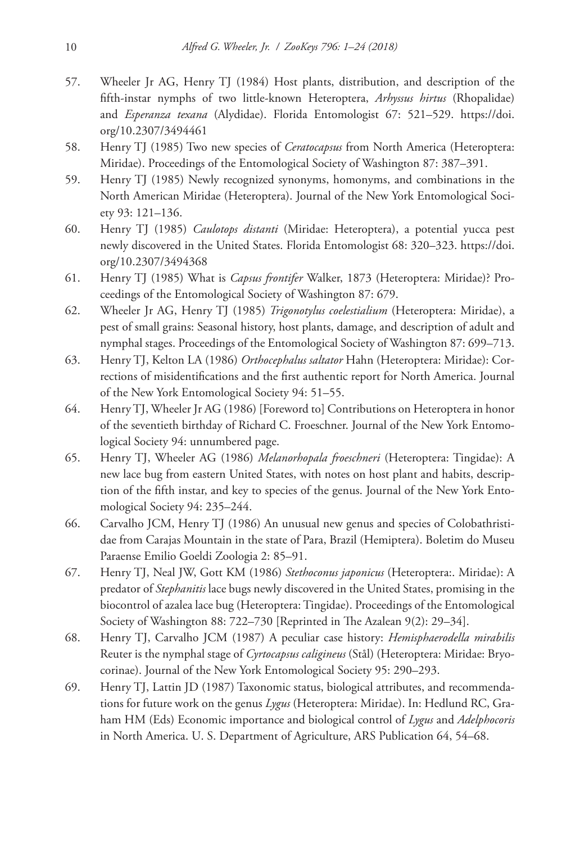- 57. Wheeler Jr AG, Henry TJ (1984) Host plants, distribution, and description of the fifth-instar nymphs of two little-known Heteroptera, *Arhyssus hirtus* (Rhopalidae) and *Esperanza texana* (Alydidae). Florida Entomologist 67: 521–529. [https://doi.](https://doi.org/10.2307/3494461) [org/10.2307/3494461](https://doi.org/10.2307/3494461)
- 58. Henry TJ (1985) Two new species of *Ceratocapsus* from North America (Heteroptera: Miridae). Proceedings of the Entomological Society of Washington 87: 387–391.
- 59. Henry TJ (1985) Newly recognized synonyms, homonyms, and combinations in the North American Miridae (Heteroptera). Journal of the New York Entomological Society 93: 121–136.
- 60. Henry TJ (1985) *Caulotops distanti* (Miridae: Heteroptera), a potential yucca pest newly discovered in the United States. Florida Entomologist 68: 320–323. [https://doi.](https://doi.org/10.2307/3494368) [org/10.2307/3494368](https://doi.org/10.2307/3494368)
- 61. Henry TJ (1985) What is *Capsus frontifer* Walker, 1873 (Heteroptera: Miridae)? Proceedings of the Entomological Society of Washington 87: 679.
- 62. Wheeler Jr AG, Henry TJ (1985) *Trigonotylus coelestialium* (Heteroptera: Miridae), a pest of small grains: Seasonal history, host plants, damage, and description of adult and nymphal stages. Proceedings of the Entomological Society of Washington 87: 699–713.
- 63. Henry TJ, Kelton LA (1986) *Orthocephalus saltator* Hahn (Heteroptera: Miridae): Corrections of misidentifications and the first authentic report for North America. Journal of the New York Entomological Society 94: 51–55.
- 64. Henry TJ, Wheeler Jr AG (1986) [Foreword to] Contributions on Heteroptera in honor of the seventieth birthday of Richard C. Froeschner. Journal of the New York Entomological Society 94: unnumbered page.
- 65. Henry TJ, Wheeler AG (1986) *Melanorhopala froeschneri* (Heteroptera: Tingidae): A new lace bug from eastern United States, with notes on host plant and habits, description of the fifth instar, and key to species of the genus. Journal of the New York Entomological Society 94: 235–244.
- 66. Carvalho JCM, Henry TJ (1986) An unusual new genus and species of Colobathristidae from Carajas Mountain in the state of Para, Brazil (Hemiptera). Boletim do Museu Paraense Emilio Goeldi Zoologia 2: 85–91.
- 67. Henry TJ, Neal JW, Gott KM (1986) *Stethoconus japonicus* (Heteroptera:. Miridae): A predator of *Stephanitis* lace bugs newly discovered in the United States, promising in the biocontrol of azalea lace bug (Heteroptera: Tingidae). Proceedings of the Entomological Society of Washington 88: 722–730 [Reprinted in The Azalean 9(2): 29–34].
- 68. Henry TJ, Carvalho JCM (1987) A peculiar case history: *Hemisphaerodella mirabilis* Reuter is the nymphal stage of *Cyrtocapsus caligineus* (Stål) (Heteroptera: Miridae: Bryocorinae). Journal of the New York Entomological Society 95: 290–293.
- 69. Henry TJ, Lattin JD (1987) Taxonomic status, biological attributes, and recommendations for future work on the genus *Lygus* (Heteroptera: Miridae). In: Hedlund RC, Graham HM (Eds) Economic importance and biological control of *Lygus* and *Adelphocoris*  in North America. U. S. Department of Agriculture, ARS Publication 64, 54–68.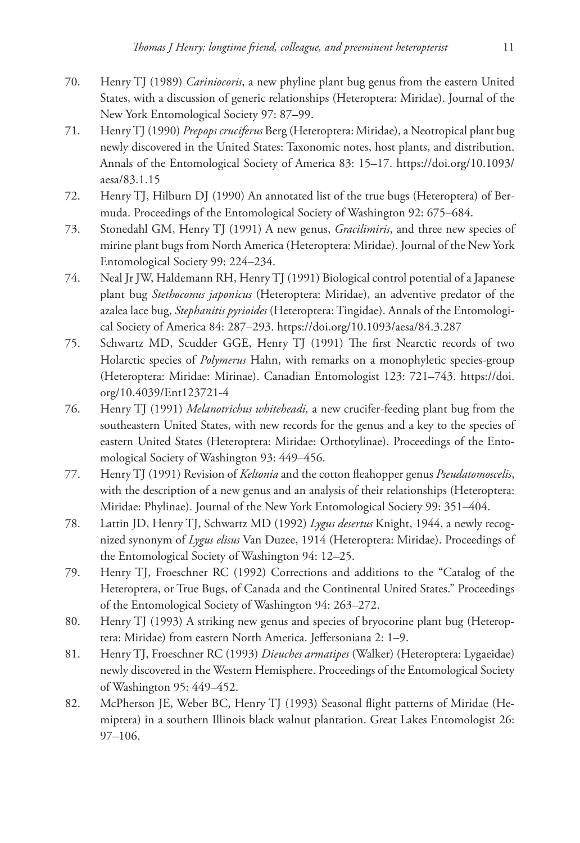- 70. Henry TJ (1989) *Cariniocoris*, a new phyline plant bug genus from the eastern United States, with a discussion of generic relationships (Heteroptera: Miridae). Journal of the New York Entomological Society 97: 87–99.
- 71. Henry TJ (1990) *Prepops cruciferus* Berg (Heteroptera: Miridae), a Neotropical plant bug newly discovered in the United States: Taxonomic notes, host plants, and distribution. Annals of the Entomological Society of America 83: 15–17. [https://doi.org/10.1093/](https://doi.org/10.1093/aesa/83.1.15) [aesa/83.1.15](https://doi.org/10.1093/aesa/83.1.15)
- 72. Henry TJ, Hilburn DJ (1990) An annotated list of the true bugs (Heteroptera) of Bermuda. Proceedings of the Entomological Society of Washington 92: 675–684.
- 73. Stonedahl GM, Henry TJ (1991) A new genus, *Gracilimiris*, and three new species of mirine plant bugs from North America (Heteroptera: Miridae). Journal of the New York Entomological Society 99: 224–234.
- 74. Neal Jr JW, Haldemann RH, Henry TJ (1991) Biological control potential of a Japanese plant bug *Stethoconus japonicus* (Heteroptera: Miridae), an adventive predator of the azalea lace bug, *Stephanitis pyrioides* (Heteroptera: Tingidae). Annals of the Entomological Society of America 84: 287–293. <https://doi.org/10.1093/aesa/84.3.287>
- 75. Schwartz MD, Scudder GGE, Henry TJ (1991) The first Nearctic records of two Holarctic species of *Polymerus* Hahn, with remarks on a monophyletic species-group (Heteroptera: Miridae: Mirinae). Canadian Entomologist 123: 721–743. [https://doi.](https://doi.org/10.4039/Ent123721-4) [org/10.4039/Ent123721-4](https://doi.org/10.4039/Ent123721-4)
- 76. Henry TJ (1991) *Melanotrichus whiteheadi,* a new crucifer-feeding plant bug from the southeastern United States, with new records for the genus and a key to the species of eastern United States (Heteroptera: Miridae: Orthotylinae). Proceedings of the Entomological Society of Washington 93: 449–456.
- 77. Henry TJ (1991) Revision of *Keltonia* and the cotton fleahopper genus *Pseudatomoscelis*, with the description of a new genus and an analysis of their relationships (Heteroptera: Miridae: Phylinae). Journal of the New York Entomological Society 99: 351–404.
- 78. Lattin JD, Henry TJ, Schwartz MD (1992) *Lygus desertus* Knight, 1944, a newly recognized synonym of *Lygus elisus* Van Duzee, 1914 (Heteroptera: Miridae). Proceedings of the Entomological Society of Washington 94: 12–25.
- 79. Henry TJ, Froeschner RC (1992) Corrections and additions to the "Catalog of the Heteroptera, or True Bugs, of Canada and the Continental United States." Proceedings of the Entomological Society of Washington 94: 263–272.
- 80. Henry TJ (1993) A striking new genus and species of bryocorine plant bug (Heteroptera: Miridae) from eastern North America. Jeffersoniana 2: 1–9.
- 81. Henry TJ, Froeschner RC (1993) *Dieuches armatipes* (Walker) (Heteroptera: Lygaeidae) newly discovered in the Western Hemisphere. Proceedings of the Entomological Society of Washington 95: 449–452.
- 82. McPherson JE, Weber BC, Henry TJ (1993) Seasonal flight patterns of Miridae (Hemiptera) in a southern Illinois black walnut plantation. Great Lakes Entomologist 26: 97–106.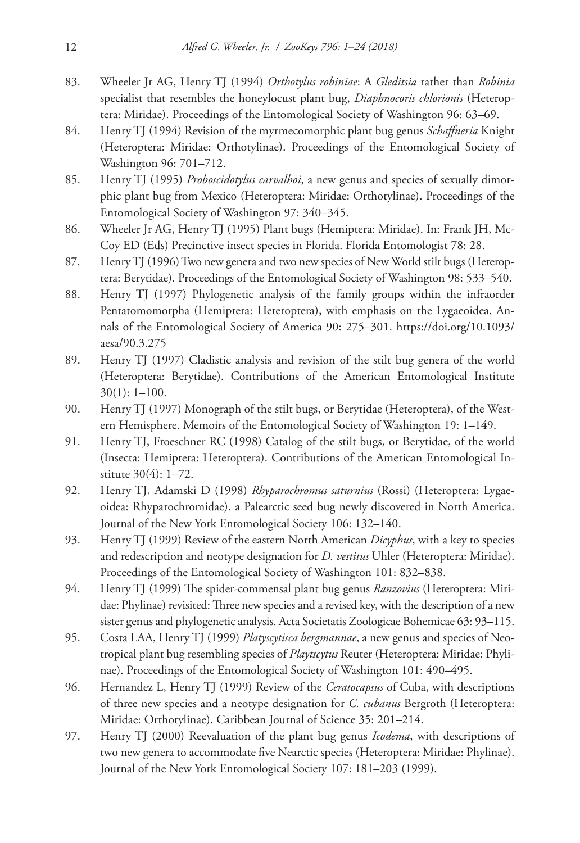- 83. Wheeler Jr AG, Henry TJ (1994) *Orthotylus robiniae*: A *Gleditsia* rather than *Robinia* specialist that resembles the honeylocust plant bug, *Diaphnocoris chlorionis* (Heteroptera: Miridae). Proceedings of the Entomological Society of Washington 96: 63–69.
- 84. Henry TJ (1994) Revision of the myrmecomorphic plant bug genus *Schaffneria* Knight (Heteroptera: Miridae: Orthotylinae). Proceedings of the Entomological Society of Washington 96: 701–712.
- 85. Henry TJ (1995) *Proboscidotylus carvalhoi*, a new genus and species of sexually dimorphic plant bug from Mexico (Heteroptera: Miridae: Orthotylinae). Proceedings of the Entomological Society of Washington 97: 340–345.
- 86. Wheeler Jr AG, Henry TJ (1995) Plant bugs (Hemiptera: Miridae). In: Frank JH, Mc-Coy ED (Eds) Precinctive insect species in Florida. Florida Entomologist 78: 28.
- 87. Henry TJ (1996) Two new genera and two new species of New World stilt bugs (Heteroptera: Berytidae). Proceedings of the Entomological Society of Washington 98: 533–540.
- 88. Henry TJ (1997) Phylogenetic analysis of the family groups within the infraorder Pentatomomorpha (Hemiptera: Heteroptera), with emphasis on the Lygaeoidea. Annals of the Entomological Society of America 90: 275–301. [https://doi.org/10.1093/](https://doi.org/10.1093/aesa/90.3.275) [aesa/90.3.275](https://doi.org/10.1093/aesa/90.3.275)
- 89. Henry TJ (1997) Cladistic analysis and revision of the stilt bug genera of the world (Heteroptera: Berytidae). Contributions of the American Entomological Institute 30(1): 1–100.
- 90. Henry TJ (1997) Monograph of the stilt bugs, or Berytidae (Heteroptera), of the Western Hemisphere. Memoirs of the Entomological Society of Washington 19: 1–149.
- 91. Henry TJ, Froeschner RC (1998) Catalog of the stilt bugs, or Berytidae, of the world (Insecta: Hemiptera: Heteroptera). Contributions of the American Entomological Institute 30(4): 1–72.
- 92. Henry TJ, Adamski D (1998) *Rhyparochromus saturnius* (Rossi) (Heteroptera: Lygaeoidea: Rhyparochromidae), a Palearctic seed bug newly discovered in North America. Journal of the New York Entomological Society 106: 132–140.
- 93. Henry TJ (1999) Review of the eastern North American *Dicyphus*, with a key to species and redescription and neotype designation for *D. vestitus* Uhler (Heteroptera: Miridae). Proceedings of the Entomological Society of Washington 101: 832–838.
- 94. Henry TJ (1999) The spider-commensal plant bug genus *Ranzovius* (Heteroptera: Miridae: Phylinae) revisited: Three new species and a revised key, with the description of a new sister genus and phylogenetic analysis. Acta Societatis Zoologicae Bohemicae 63: 93–115.
- 95. Costa LAA, Henry TJ (1999) *Platyscytisca bergmannae*, a new genus and species of Neotropical plant bug resembling species of *Playtscytus* Reuter (Heteroptera: Miridae: Phylinae). Proceedings of the Entomological Society of Washington 101: 490–495.
- 96. Hernandez L, Henry TJ (1999) Review of the *Ceratocapsus* of Cuba, with descriptions of three new species and a neotype designation for *C. cubanus* Bergroth (Heteroptera: Miridae: Orthotylinae). Caribbean Journal of Science 35: 201–214.
- 97. Henry TJ (2000) Reevaluation of the plant bug genus *Icodema*, with descriptions of two new genera to accommodate five Nearctic species (Heteroptera: Miridae: Phylinae). Journal of the New York Entomological Society 107: 181–203 (1999).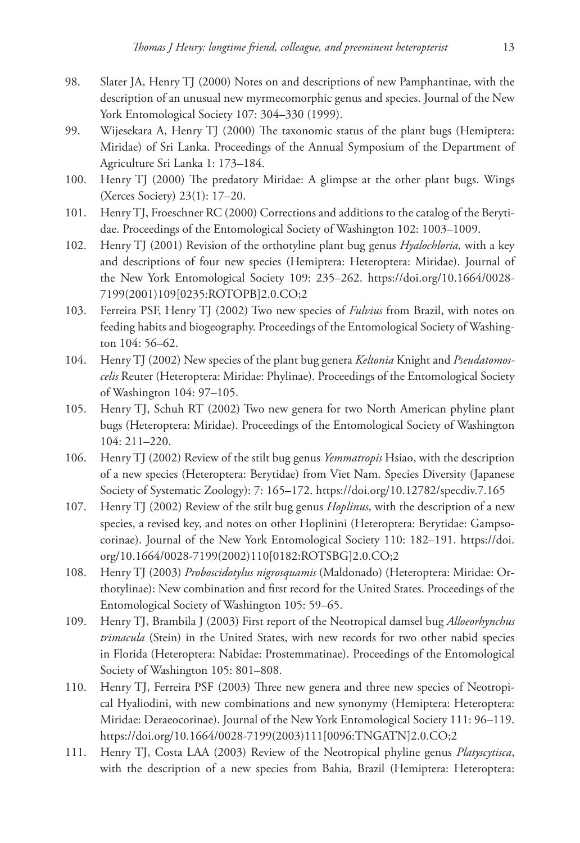- 98. Slater JA, Henry TJ (2000) Notes on and descriptions of new Pamphantinae, with the description of an unusual new myrmecomorphic genus and species. Journal of the New York Entomological Society 107: 304–330 (1999).
- 99. Wijesekara A, Henry TJ (2000) The taxonomic status of the plant bugs (Hemiptera: Miridae) of Sri Lanka. Proceedings of the Annual Symposium of the Department of Agriculture Sri Lanka 1: 173–184.
- 100. Henry TJ (2000) The predatory Miridae: A glimpse at the other plant bugs. Wings (Xerces Society) 23(1): 17–20.
- 101. Henry TJ, Froeschner RC (2000) Corrections and additions to the catalog of the Berytidae. Proceedings of the Entomological Society of Washington 102: 1003–1009.
- 102. Henry TJ (2001) Revision of the orthotyline plant bug genus *Hyalochloria,* with a key and descriptions of four new species (Hemiptera: Heteroptera: Miridae). Journal of the New York Entomological Society 109: 235–262. [https://doi.org/10.1664/0028-](https://doi.org/10.1664/0028-7199(2001)109%5B0235:ROTOPB%5D2.0.CO;2) [7199\(2001\)109\[0235:ROTOPB\]2.0.CO;2](https://doi.org/10.1664/0028-7199(2001)109%5B0235:ROTOPB%5D2.0.CO;2)
- 103. Ferreira PSF, Henry TJ (2002) Two new species of *Fulvius* from Brazil, with notes on feeding habits and biogeography. Proceedings of the Entomological Society of Washington 104: 56–62.
- 104. Henry TJ (2002) New species of the plant bug genera *Keltonia* Knight and *Pseudatomoscelis* Reuter (Heteroptera: Miridae: Phylinae). Proceedings of the Entomological Society of Washington 104: 97–105.
- 105. Henry TJ, Schuh RT (2002) Two new genera for two North American phyline plant bugs (Heteroptera: Miridae). Proceedings of the Entomological Society of Washington 104: 211–220.
- 106. Henry TJ (2002) Review of the stilt bug genus *Yemmatropis* Hsiao, with the description of a new species (Heteroptera: Berytidae) from Viet Nam. Species Diversity (Japanese Society of Systematic Zoology): 7: 165–172. <https://doi.org/10.12782/specdiv.7.165>
- 107. Henry TJ (2002) Review of the stilt bug genus *Hoplinus*, with the description of a new species, a revised key, and notes on other Hoplinini (Heteroptera: Berytidae: Gampsocorinae). Journal of the New York Entomological Society 110: 182–191. [https://doi.](https://doi.org/10.1664/0028-7199(2002)110%5B0182:ROTSBG%5D2.0.CO;2) [org/10.1664/0028-7199\(2002\)110\[0182:ROTSBG\]2.0.CO;2](https://doi.org/10.1664/0028-7199(2002)110%5B0182:ROTSBG%5D2.0.CO;2)
- 108. Henry TJ (2003) *Proboscidotylus nigrosquamis* (Maldonado) (Heteroptera: Miridae: Orthotylinae): New combination and first record for the United States. Proceedings of the Entomological Society of Washington 105: 59–65.
- 109. Henry TJ, Brambila J (2003) First report of the Neotropical damsel bug *Alloeorhynchus trimacula* (Stein) in the United States, with new records for two other nabid species in Florida (Heteroptera: Nabidae: Prostemmatinae). Proceedings of the Entomological Society of Washington 105: 801–808.
- 110. Henry TJ, Ferreira PSF (2003) Three new genera and three new species of Neotropical Hyaliodini, with new combinations and new synonymy (Hemiptera: Heteroptera: Miridae: Deraeocorinae). Journal of the New York Entomological Society 111: 96–119. [https://doi.org/10.1664/0028-7199\(2003\)111\[0096:TNGATN\]2.0.CO;2](https://doi.org/10.1664/0028-7199(2003)111%5B0096:TNGATN%5D2.0.CO;2)
- 111. Henry TJ, Costa LAA (2003) Review of the Neotropical phyline genus *Platyscytisca*, with the description of a new species from Bahia, Brazil (Hemiptera: Heteroptera: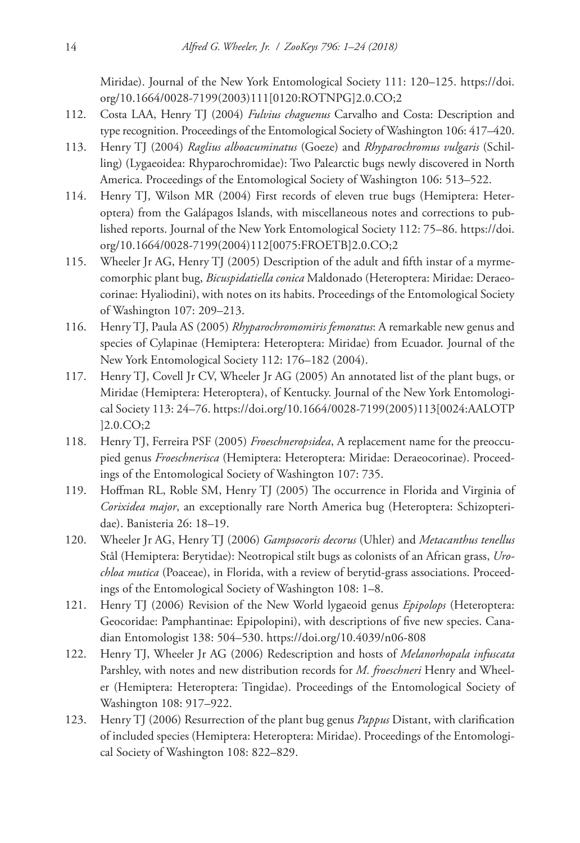Miridae). Journal of the New York Entomological Society 111: 120–125. [https://doi.](https://doi.org/10.1664/0028-7199(2003)111%5B0120:ROTNPG%5D2.0.CO;2) [org/10.1664/0028-7199\(2003\)111\[0120:ROTNPG\]2.0.CO;2](https://doi.org/10.1664/0028-7199(2003)111%5B0120:ROTNPG%5D2.0.CO;2)

- 112. Costa LAA, Henry TJ (2004) *Fulvius chaguenus* Carvalho and Costa: Description and type recognition. Proceedings of the Entomological Society of Washington 106: 417–420.
- 113. Henry TJ (2004) *Raglius alboacuminatus* (Goeze) and *Rhyparochromus vulgaris* (Schilling) (Lygaeoidea: Rhyparochromidae): Two Palearctic bugs newly discovered in North America. Proceedings of the Entomological Society of Washington 106: 513–522.
- 114. Henry TJ, Wilson MR (2004) First records of eleven true bugs (Hemiptera: Heteroptera) from the Galápagos Islands, with miscellaneous notes and corrections to published reports. Journal of the New York Entomological Society 112: 75–86. [https://doi.](https://doi.org/10.1664/0028-7199(2004)112%5B0075:FROETB%5D2.0.CO;2) [org/10.1664/0028-7199\(2004\)112\[0075:FROETB\]2.0.CO;2](https://doi.org/10.1664/0028-7199(2004)112%5B0075:FROETB%5D2.0.CO;2)
- 115. Wheeler Jr AG, Henry TJ (2005) Description of the adult and fifth instar of a myrmecomorphic plant bug, *Bicuspidatiella conica* Maldonado (Heteroptera: Miridae: Deraeocorinae: Hyaliodini), with notes on its habits. Proceedings of the Entomological Society of Washington 107: 209–213.
- 116. Henry TJ, Paula AS (2005) *Rhyparochromomiris femoratus*: A remarkable new genus and species of Cylapinae (Hemiptera: Heteroptera: Miridae) from Ecuador. Journal of the New York Entomological Society 112: 176–182 (2004).
- 117. Henry TJ, Covell Jr CV, Wheeler Jr AG (2005) An annotated list of the plant bugs, or Miridae (Hemiptera: Heteroptera), of Kentucky. Journal of the New York Entomological Society 113: 24–76. [https://doi.org/10.1664/0028-7199\(2005\)113\[0024:AALOTP](https://doi.org/10.1664/0028-7199(2005)113%5B0024:AALOTP%5D2.0.CO;2) [\]2.0.CO;2](https://doi.org/10.1664/0028-7199(2005)113%5B0024:AALOTP%5D2.0.CO;2)
- 118. Henry TJ, Ferreira PSF (2005) *Froeschneropsidea*, A replacement name for the preoccupied genus *Froeschnerisca* (Hemiptera: Heteroptera: Miridae: Deraeocorinae). Proceedings of the Entomological Society of Washington 107: 735.
- 119. Hoffman RL, Roble SM, Henry TJ (2005) The occurrence in Florida and Virginia of *Corixidea major*, an exceptionally rare North America bug (Heteroptera: Schizopteridae). Banisteria 26: 18–19.
- 120. Wheeler Jr AG, Henry TJ (2006) *Gampsocoris decorus* (Uhler) and *Metacanthus tenellus* Stål (Hemiptera: Berytidae): Neotropical stilt bugs as colonists of an African grass, *Urochloa mutica* (Poaceae), in Florida, with a review of berytid-grass associations. Proceedings of the Entomological Society of Washington 108: 1–8.
- 121. Henry TJ (2006) Revision of the New World lygaeoid genus *Epipolops* (Heteroptera: Geocoridae: Pamphantinae: Epipolopini), with descriptions of five new species. Canadian Entomologist 138: 504–530.<https://doi.org/10.4039/n06-808>
- 122. Henry TJ, Wheeler Jr AG (2006) Redescription and hosts of *Melanorhopala infuscata* Parshley, with notes and new distribution records for *M. froeschneri* Henry and Wheeler (Hemiptera: Heteroptera: Tingidae). Proceedings of the Entomological Society of Washington 108: 917–922.
- 123. Henry TJ (2006) Resurrection of the plant bug genus *Pappus* Distant, with clarification of included species (Hemiptera: Heteroptera: Miridae). Proceedings of the Entomological Society of Washington 108: 822–829.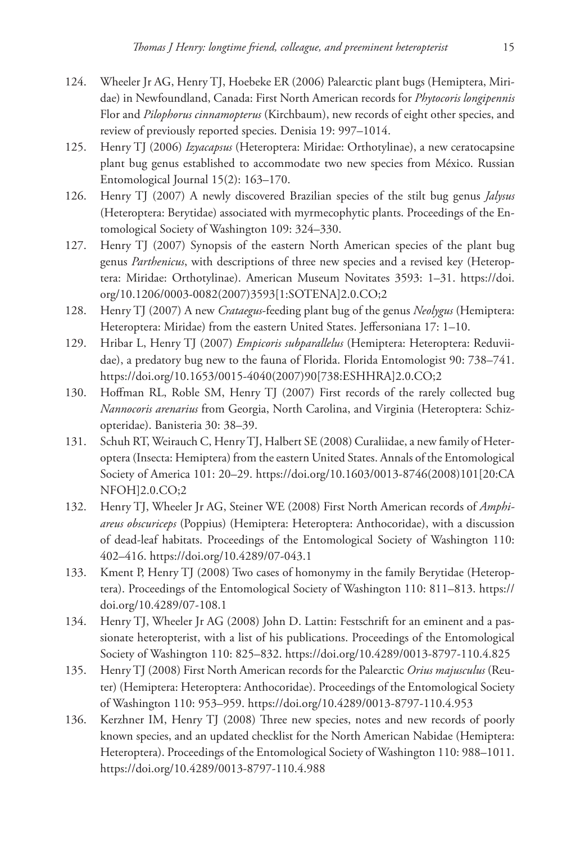- 124. Wheeler Jr AG, Henry TJ, Hoebeke ER (2006) Palearctic plant bugs (Hemiptera, Miridae) in Newfoundland, Canada: First North American records for *Phytocoris longipennis* Flor and *Pilophorus cinnamopterus* (Kirchbaum), new records of eight other species, and review of previously reported species. Denisia 19: 997–1014.
- 125. Henry TJ (2006) *Izyacapsus* (Heteroptera: Miridae: Orthotylinae), a new ceratocapsine plant bug genus established to accommodate two new species from México. Russian Entomological Journal 15(2): 163–170.
- 126. Henry TJ (2007) A newly discovered Brazilian species of the stilt bug genus *Jalysus* (Heteroptera: Berytidae) associated with myrmecophytic plants. Proceedings of the Entomological Society of Washington 109: 324–330.
- 127. Henry TJ (2007) Synopsis of the eastern North American species of the plant bug genus *Parthenicus*, with descriptions of three new species and a revised key (Heteroptera: Miridae: Orthotylinae). American Museum Novitates 3593: 1–31. [https://doi.](https://doi.org/10.1206/0003-0082(2007)3593%5B1:SOTENA%5D2.0.CO;2) [org/10.1206/0003-0082\(2007\)3593\[1:SOTENA\]2.0.CO;2](https://doi.org/10.1206/0003-0082(2007)3593%5B1:SOTENA%5D2.0.CO;2)
- 128. Henry TJ (2007) A new *Crataegus*-feeding plant bug of the genus *Neolygus* (Hemiptera: Heteroptera: Miridae) from the eastern United States. Jeffersoniana 17: 1–10.
- 129. Hribar L, Henry TJ (2007) *Empicoris subparallelus* (Hemiptera: Heteroptera: Reduviidae), a predatory bug new to the fauna of Florida. Florida Entomologist 90: 738–741. [https://doi.org/10.1653/0015-4040\(2007\)90\[738:ESHHRA\]2.0.CO;2](https://doi.org/10.1653/0015-4040(2007)90%5B738:ESHHRA%5D2.0.CO;2)
- 130. Hoffman RL, Roble SM, Henry TJ (2007) First records of the rarely collected bug *Nannocoris arenarius* from Georgia, North Carolina, and Virginia (Heteroptera: Schizopteridae). Banisteria 30: 38–39.
- 131. Schuh RT, Weirauch C, Henry TJ, Halbert SE (2008) Curaliidae, a new family of Heteroptera (Insecta: Hemiptera) from the eastern United States. Annals of the Entomological Society of America 101: 20–29. [https://doi.org/10.1603/0013-8746\(2008\)101\[20:CA](https://doi.org/10.1603/0013-8746(2008)101%5B20:CANFOH%5D2.0.CO;2) [NFOH\]2.0.CO;2](https://doi.org/10.1603/0013-8746(2008)101%5B20:CANFOH%5D2.0.CO;2)
- 132. Henry TJ, Wheeler Jr AG, Steiner WE (2008) First North American records of *Amphiareus obscuriceps* (Poppius) (Hemiptera: Heteroptera: Anthocoridae), with a discussion of dead-leaf habitats. Proceedings of the Entomological Society of Washington 110: 402–416. <https://doi.org/10.4289/07-043.1>
- 133. Kment P, Henry TJ (2008) Two cases of homonymy in the family Berytidae (Heteroptera). Proceedings of the Entomological Society of Washington 110: 811–813. [https://](https://doi.org/10.4289/07-108.1) [doi.org/10.4289/07-108.1](https://doi.org/10.4289/07-108.1)
- 134. Henry TJ, Wheeler Jr AG (2008) John D. Lattin: Festschrift for an eminent and a passionate heteropterist, with a list of his publications. Proceedings of the Entomological Society of Washington 110: 825–832.<https://doi.org/10.4289/0013-8797-110.4.825>
- 135. Henry TJ (2008) First North American records for the Palearctic *Orius majusculus* (Reuter) (Hemiptera: Heteroptera: Anthocoridae). Proceedings of the Entomological Society of Washington 110: 953–959. <https://doi.org/10.4289/0013-8797-110.4.953>
- 136. Kerzhner IM, Henry TJ (2008) Three new species, notes and new records of poorly known species, and an updated checklist for the North American Nabidae (Hemiptera: Heteroptera). Proceedings of the Entomological Society of Washington 110: 988–1011. <https://doi.org/10.4289/0013-8797-110.4.988>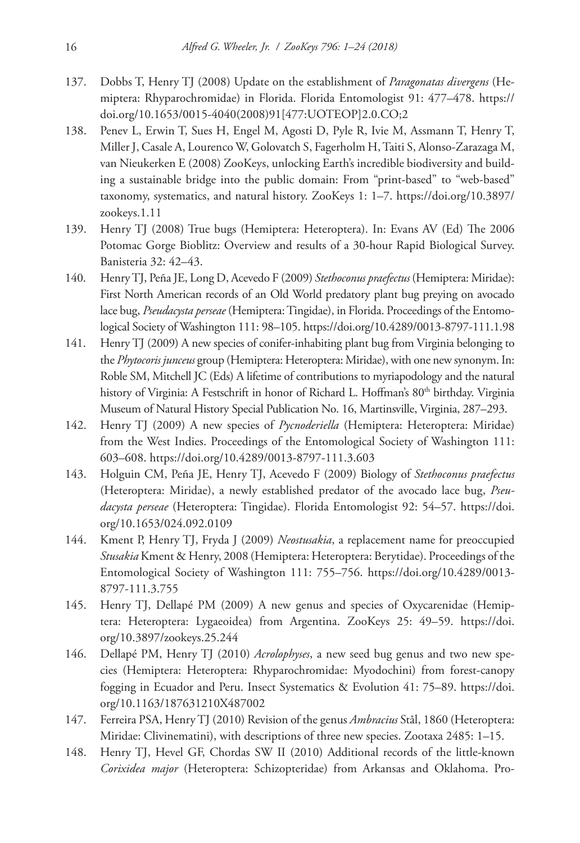- 137. Dobbs T, Henry TJ (2008) Update on the establishment of *Paragonatas divergens* (Hemiptera: Rhyparochromidae) in Florida. Florida Entomologist 91: 477–478. [https://](https://doi.org/10.1653/0015-4040(2008)91%5B477:UOTEOP%5D2.0.CO;2) [doi.org/10.1653/0015-4040\(2008\)91\[477:UOTEOP\]2.0.CO;2](https://doi.org/10.1653/0015-4040(2008)91%5B477:UOTEOP%5D2.0.CO;2)
- 138. Penev L, Erwin T, Sues H, Engel M, Agosti D, Pyle R, Ivie M, Assmann T, Henry T, Miller J, Casale A, Lourenco W, Golovatch S, Fagerholm H, Taiti S, Alonso-Zarazaga M, van Nieukerken E (2008) ZooKeys, unlocking Earth's incredible biodiversity and building a sustainable bridge into the public domain: From "print-based" to "web-based" taxonomy, systematics, and natural history. ZooKeys 1: 1–7. [https://doi.org/10.3897/](https://doi.org/10.3897/zookeys.1.11) [zookeys.1.11](https://doi.org/10.3897/zookeys.1.11)
- 139. Henry TJ (2008) True bugs (Hemiptera: Heteroptera). In: Evans AV (Ed) The 2006 Potomac Gorge Bioblitz: Overview and results of a 30-hour Rapid Biological Survey. Banisteria 32: 42–43.
- 140. Henry TJ, Peña JE, Long D, Acevedo F (2009) *Stethoconus praefectus* (Hemiptera: Miridae): First North American records of an Old World predatory plant bug preying on avocado lace bug, *Pseudacysta perseae* (Hemiptera: Tingidae), in Florida. Proceedings of the Entomological Society of Washington 111: 98–105.<https://doi.org/10.4289/0013-8797-111.1.98>
- 141. Henry TJ (2009) A new species of conifer-inhabiting plant bug from Virginia belonging to the *Phytocoris junceus* group (Hemiptera: Heteroptera: Miridae), with one new synonym. In: Roble SM, Mitchell JC (Eds) A lifetime of contributions to myriapodology and the natural history of Virginia: A Festschrift in honor of Richard L. Hoffman's 80<sup>th</sup> birthday. Virginia Museum of Natural History Special Publication No. 16, Martinsville, Virginia, 287–293.
- 142. Henry TJ (2009) A new species of *Pycnoderiella* (Hemiptera: Heteroptera: Miridae) from the West Indies. Proceedings of the Entomological Society of Washington 111: 603–608. <https://doi.org/10.4289/0013-8797-111.3.603>
- 143. Holguin CM, Peña JE, Henry TJ, Acevedo F (2009) Biology of *Stethoconus praefectus* (Heteroptera: Miridae), a newly established predator of the avocado lace bug, *Pseudacysta perseae* (Heteroptera: Tingidae). Florida Entomologist 92: 54–57. [https://doi.](https://doi.org/10.1653/024.092.0109) [org/10.1653/024.092.0109](https://doi.org/10.1653/024.092.0109)
- 144. Kment P, Henry TJ, Fryda J (2009) *Neostusakia*, a replacement name for preoccupied *Stusakia* Kment & Henry, 2008 (Hemiptera: Heteroptera: Berytidae). Proceedings of the Entomological Society of Washington 111: 755–756. [https://doi.org/10.4289/0013-](https://doi.org/10.4289/0013-8797-111.3.755) [8797-111.3.755](https://doi.org/10.4289/0013-8797-111.3.755)
- 145. Henry TJ, Dellapé PM (2009) A new genus and species of Oxycarenidae (Hemiptera: Heteroptera: Lygaeoidea) from Argentina. ZooKeys 25: 49–59. [https://doi.](https://doi.org/10.3897/zookeys.25.244) [org/10.3897/zookeys.25.244](https://doi.org/10.3897/zookeys.25.244)
- 146. Dellapé PM, Henry TJ (2010) *Acrolophyses*, a new seed bug genus and two new species (Hemiptera: Heteroptera: Rhyparochromidae: Myodochini) from forest-canopy fogging in Ecuador and Peru. Insect Systematics & Evolution 41: 75–89. [https://doi.](https://doi.org/10.1163/187631210X487002) [org/10.1163/187631210X487002](https://doi.org/10.1163/187631210X487002)
- 147. Ferreira PSA, Henry TJ (2010) Revision of the genus *Ambracius* Stål, 1860 (Heteroptera: Miridae: Clivinematini), with descriptions of three new species. Zootaxa 2485: 1–15.
- 148. Henry TJ, Hevel GF, Chordas SW II (2010) Additional records of the little-known *Corixidea major* (Heteroptera: Schizopteridae) from Arkansas and Oklahoma. Pro-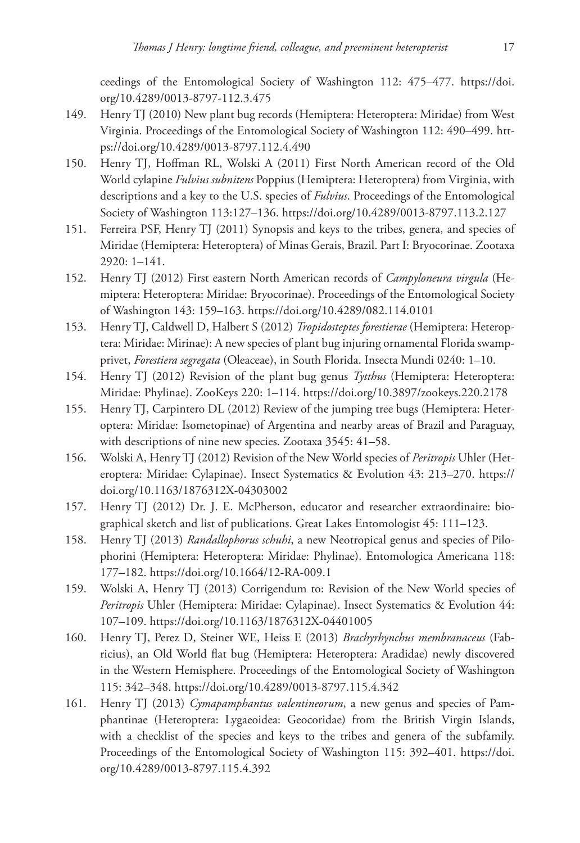ceedings of the Entomological Society of Washington 112: 475–477. [https://doi.](https://doi.org/10.4289/0013-8797-112.3.475) [org/10.4289/0013-8797-112.3.475](https://doi.org/10.4289/0013-8797-112.3.475)

- 149. Henry TJ (2010) New plant bug records (Hemiptera: Heteroptera: Miridae) from West Virginia. Proceedings of the Entomological Society of Washington 112: 490–499. [htt](https://doi.org/10.4289/0013-8797.112.4.490)[ps://doi.org/10.4289/0013-8797.112.4.490](https://doi.org/10.4289/0013-8797.112.4.490)
- 150. Henry TJ, Hoffman RL, Wolski A (2011) First North American record of the Old World cylapine *Fulvius subnitens* Poppius (Hemiptera: Heteroptera) from Virginia, with descriptions and a key to the U.S. species of *Fulvius*. Proceedings of the Entomological Society of Washington 113:127–136. <https://doi.org/10.4289/0013-8797.113.2.127>
- 151. Ferreira PSF, Henry TJ (2011) Synopsis and keys to the tribes, genera, and species of Miridae (Hemiptera: Heteroptera) of Minas Gerais, Brazil. Part I: Bryocorinae. Zootaxa 2920: 1–141.
- 152. Henry TJ (2012) First eastern North American records of *Campyloneura virgula* (Hemiptera: Heteroptera: Miridae: Bryocorinae). Proceedings of the Entomological Society of Washington 143: 159–163. <https://doi.org/10.4289/082.114.0101>
- 153. Henry TJ, Caldwell D, Halbert S (2012) *Tropidosteptes forestierae* (Hemiptera: Heteroptera: Miridae: Mirinae): A new species of plant bug injuring ornamental Florida swampprivet, *Forestiera segregata* (Oleaceae), in South Florida. Insecta Mundi 0240: 1–10.
- 154. Henry TJ (2012) Revision of the plant bug genus *Tytthus* (Hemiptera: Heteroptera: Miridae: Phylinae). ZooKeys 220: 1–114. <https://doi.org/10.3897/zookeys.220.2178>
- 155. Henry TJ, Carpintero DL (2012) Review of the jumping tree bugs (Hemiptera: Heteroptera: Miridae: Isometopinae) of Argentina and nearby areas of Brazil and Paraguay, with descriptions of nine new species. Zootaxa 3545: 41–58.
- 156. Wolski A, Henry TJ (2012) Revision of the New World species of *Peritropis* Uhler (Heteroptera: Miridae: Cylapinae). Insect Systematics & Evolution 43: 213–270. [https://](https://doi.org/10.1163/1876312X-04303002) [doi.org/10.1163/1876312X-04303002](https://doi.org/10.1163/1876312X-04303002)
- 157. Henry TJ (2012) Dr. J. E. McPherson, educator and researcher extraordinaire: biographical sketch and list of publications. Great Lakes Entomologist 45: 111–123.
- 158. Henry TJ (2013) *Randallophorus schuhi*, a new Neotropical genus and species of Pilophorini (Hemiptera: Heteroptera: Miridae: Phylinae). Entomologica Americana 118: 177–182. <https://doi.org/10.1664/12-RA-009.1>
- 159. Wolski A, Henry TJ (2013) Corrigendum to: Revision of the New World species of *Peritropis* Uhler (Hemiptera: Miridae: Cylapinae). Insect Systematics & Evolution 44: 107–109. <https://doi.org/10.1163/1876312X-04401005>
- 160. Henry TJ, Perez D, Steiner WE, Heiss E (2013) *Brachyrhynchus membranaceus* (Fabricius), an Old World flat bug (Hemiptera: Heteroptera: Aradidae) newly discovered in the Western Hemisphere. Proceedings of the Entomological Society of Washington 115: 342–348. <https://doi.org/10.4289/0013-8797.115.4.342>
- 161. Henry TJ (2013) *Cymapamphantus valentineorum*, a new genus and species of Pamphantinae (Heteroptera: Lygaeoidea: Geocoridae) from the British Virgin Islands, with a checklist of the species and keys to the tribes and genera of the subfamily. Proceedings of the Entomological Society of Washington 115: 392–401. [https://doi.](https://doi.org/10.4289/0013-8797.115.4.392) [org/10.4289/0013-8797.115.4.392](https://doi.org/10.4289/0013-8797.115.4.392)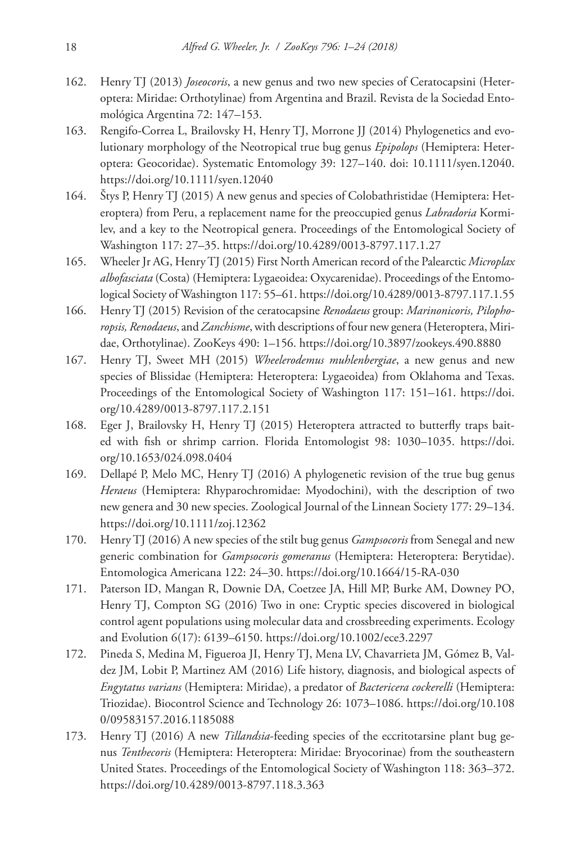- 162. Henry TJ (2013) *Joseocoris*, a new genus and two new species of Ceratocapsini (Heteroptera: Miridae: Orthotylinae) from Argentina and Brazil. Revista de la Sociedad Entomológica Argentina 72: 147–153.
- 163. Rengifo-Correa L, Brailovsky H, Henry TJ, Morrone JJ (2014) Phylogenetics and evolutionary morphology of the Neotropical true bug genus *Epipolops* (Hemiptera: Heteroptera: Geocoridae). Systematic Entomology 39: 127–140. [doi: 10.1111/syen.12040.](https://doi.org/10.1111/syen.12040) <https://doi.org/10.1111/syen.12040>
- 164. Štys P, Henry TJ (2015) A new genus and species of Colobathristidae (Hemiptera: Heteroptera) from Peru, a replacement name for the preoccupied genus *Labradoria* Kormilev, and a key to the Neotropical genera. Proceedings of the Entomological Society of Washington 117: 27–35. <https://doi.org/10.4289/0013-8797.117.1.27>
- 165. Wheeler Jr AG, Henry TJ (2015) First North American record of the Palearctic *Microplax albofasciata* (Costa) (Hemiptera: Lygaeoidea: Oxycarenidae). Proceedings of the Entomological Society of Washington 117: 55–61.<https://doi.org/10.4289/0013-8797.117.1.55>
- 166. Henry TJ (2015) Revision of the ceratocapsine *Renodaeus* group: *Marinonicoris, Pilophoropsis, Renodaeus*, and *Zanchisme*, with descriptions of four new genera (Heteroptera, Miridae, Orthotylinae). ZooKeys 490: 1–156. <https://doi.org/10.3897/zookeys.490.8880>
- 167. Henry TJ, Sweet MH (2015) *Wheelerodemus muhlenbergiae*, a new genus and new species of Blissidae (Hemiptera: Heteroptera: Lygaeoidea) from Oklahoma and Texas. Proceedings of the Entomological Society of Washington 117: 151–161. [https://doi.](https://doi.org/10.4289/0013-8797.117.2.151) [org/10.4289/0013-8797.117.2.151](https://doi.org/10.4289/0013-8797.117.2.151)
- 168. Eger J, Brailovsky H, Henry TJ (2015) Heteroptera attracted to butterfly traps baited with fish or shrimp carrion. Florida Entomologist 98: 1030–1035. [https://doi.](https://doi.org/10.1653/024.098.0404) [org/10.1653/024.098.0404](https://doi.org/10.1653/024.098.0404)
- 169. Dellapé P, Melo MC, Henry TJ (2016) A phylogenetic revision of the true bug genus *Heraeus* (Hemiptera: Rhyparochromidae: Myodochini), with the description of two new genera and 30 new species. Zoological Journal of the Linnean Society 177: 29–134. <https://doi.org/10.1111/zoj.12362>
- 170. Henry TJ (2016) A new species of the stilt bug genus *Gampsocoris* from Senegal and new generic combination for *Gampsocoris gomeranus* (Hemiptera: Heteroptera: Berytidae). Entomologica Americana 122: 24–30.<https://doi.org/10.1664/15-RA-030>
- 171. Paterson ID, Mangan R, Downie DA, Coetzee JA, Hill MP, Burke AM, Downey PO, Henry TJ, Compton SG (2016) Two in one: Cryptic species discovered in biological control agent populations using molecular data and crossbreeding experiments. Ecology and Evolution 6(17): 6139–6150. <https://doi.org/10.1002/ece3.2297>
- 172. Pineda S, Medina M, Figueroa JI, Henry TJ, Mena LV, Chavarrieta JM, Gómez B, Valdez JM, Lobit P, Martinez AM (2016) Life history, diagnosis, and biological aspects of *Engytatus varians* (Hemiptera: Miridae), a predator of *Bactericera cockerelli* (Hemiptera: Triozidae). Biocontrol Science and Technology 26: 1073–1086. [https://doi.org/10.108](https://doi.org/10.1080/09583157.2016.1185088) [0/09583157.2016.1185088](https://doi.org/10.1080/09583157.2016.1185088)
- 173. Henry TJ (2016) A new *Tillandsia*-feeding species of the eccritotarsine plant bug genus *Tenthecoris* (Hemiptera: Heteroptera: Miridae: Bryocorinae) from the southeastern United States. Proceedings of the Entomological Society of Washington 118: 363–372. <https://doi.org/10.4289/0013-8797.118.3.363>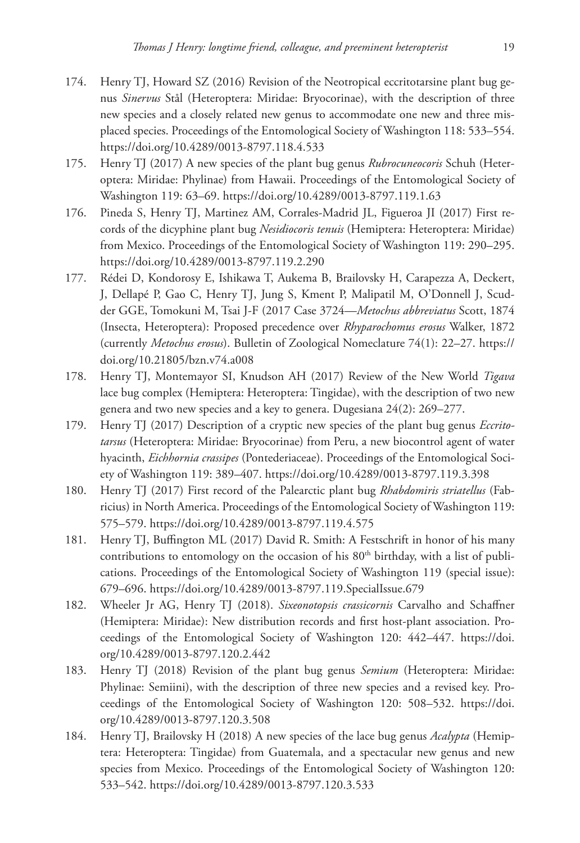- 174. Henry TJ, Howard SZ (2016) Revision of the Neotropical eccritotarsine plant bug genus *Sinervus* Stål (Heteroptera: Miridae: Bryocorinae), with the description of three new species and a closely related new genus to accommodate one new and three misplaced species. Proceedings of the Entomological Society of Washington 118: 533–554. <https://doi.org/10.4289/0013-8797.118.4.533>
- 175. Henry TJ (2017) A new species of the plant bug genus *Rubrocuneocoris* Schuh (Heteroptera: Miridae: Phylinae) from Hawaii. Proceedings of the Entomological Society of Washington 119: 63–69. <https://doi.org/10.4289/0013-8797.119.1.63>
- 176. Pineda S, Henry TJ, Martinez AM, Corrales-Madrid JL, Figueroa JI (2017) First records of the dicyphine plant bug *Nesidiocoris tenuis* (Hemiptera: Heteroptera: Miridae) from Mexico. Proceedings of the Entomological Society of Washington 119: 290–295. <https://doi.org/10.4289/0013-8797.119.2.290>
- 177. Rédei D, Kondorosy E, Ishikawa T, Aukema B, Brailovsky H, Carapezza A, Deckert, J, Dellapé P, Gao C, Henry TJ, Jung S, Kment P, Malipatil M, O'Donnell J, Scudder GGE, Tomokuni M, Tsai J-F (2017 Case 3724—*Metochus abbreviatus* Scott, 1874 (Insecta, Heteroptera): Proposed precedence over *Rhyparochomus erosus* Walker, 1872 (currently *Metochus erosus*). Bulletin of Zoological Nomeclature 74(1): 22–27. [https://](https://doi.org/10.21805/bzn.v74.a008) [doi.org/10.21805/bzn.v74.a008](https://doi.org/10.21805/bzn.v74.a008)
- 178. Henry TJ, Montemayor SI, Knudson AH (2017) Review of the New World *Tigava* lace bug complex (Hemiptera: Heteroptera: Tingidae), with the description of two new genera and two new species and a key to genera. Dugesiana 24(2): 269–277.
- 179. Henry TJ (2017) Description of a cryptic new species of the plant bug genus *Eccritotarsus* (Heteroptera: Miridae: Bryocorinae) from Peru, a new biocontrol agent of water hyacinth, *Eichhornia crassipes* (Pontederiaceae). Proceedings of the Entomological Society of Washington 119: 389–407. <https://doi.org/10.4289/0013-8797.119.3.398>
- 180. Henry TJ (2017) First record of the Palearctic plant bug *Rhabdomiris striatellus* (Fabricius) in North America. Proceedings of the Entomological Society of Washington 119: 575–579. <https://doi.org/10.4289/0013-8797.119.4.575>
- 181. Henry TJ, Buffington ML (2017) David R. Smith: A Festschrift in honor of his many contributions to entomology on the occasion of his 80<sup>th</sup> birthday, with a list of publications. Proceedings of the Entomological Society of Washington 119 (special issue): 679–696. <https://doi.org/10.4289/0013-8797.119.SpecialIssue.679>
- 182. Wheeler Jr AG, Henry TJ (2018). *Sixeonotopsis crassicornis* Carvalho and Schaffner (Hemiptera: Miridae): New distribution records and first host-plant association. Proceedings of the Entomological Society of Washington 120: 442–447. [https://doi.](https://doi.org/10.4289/0013-8797.120.2.442) [org/10.4289/0013-8797.120.2.442](https://doi.org/10.4289/0013-8797.120.2.442)
- 183. Henry TJ (2018) Revision of the plant bug genus *Semium* (Heteroptera: Miridae: Phylinae: Semiini), with the description of three new species and a revised key. Proceedings of the Entomological Society of Washington 120: 508–532. [https://doi.](https://doi.org/10.4289/0013-8797.120.3.508) [org/10.4289/0013-8797.120.3.508](https://doi.org/10.4289/0013-8797.120.3.508)
- 184. Henry TJ, Brailovsky H (2018) A new species of the lace bug genus *Acalypta* (Hemiptera: Heteroptera: Tingidae) from Guatemala, and a spectacular new genus and new species from Mexico. Proceedings of the Entomological Society of Washington 120: 533–542. <https://doi.org/10.4289/0013-8797.120.3.533>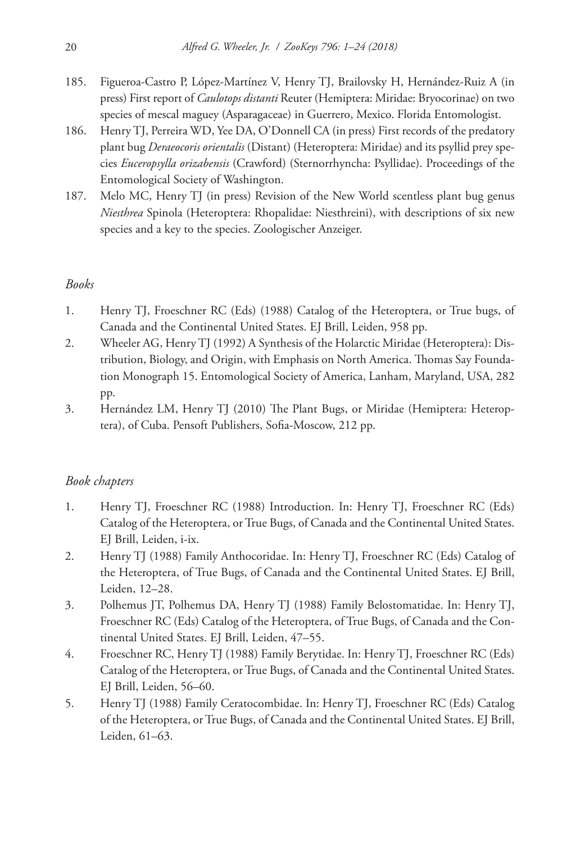- 185. Figueroa-Castro P, López-Martínez V, Henry TJ, Brailovsky H, Hernández-Ruiz A (in press) First report of *Caulotops distanti* Reuter (Hemiptera: Miridae: Bryocorinae) on two species of mescal maguey (Asparagaceae) in Guerrero, Mexico. Florida Entomologist.
- 186. Henry TJ, Perreira WD, Yee DA, O'Donnell CA (in press) First records of the predatory plant bug *Deraeocoris orientalis* (Distant) (Heteroptera: Miridae) and its psyllid prey species *Euceropsylla orizabensis* (Crawford) (Sternorrhyncha: Psyllidae). Proceedings of the Entomological Society of Washington.
- 187. Melo MC, Henry TJ (in press) Revision of the New World scentless plant bug genus *Niesthrea* Spinola (Heteroptera: Rhopalidae: Niesthreini), with descriptions of six new species and a key to the species. Zoologischer Anzeiger.

#### *Books*

- 1. Henry TJ, Froeschner RC (Eds) (1988) Catalog of the Heteroptera, or True bugs, of Canada and the Continental United States. EJ Brill, Leiden, 958 pp.
- 2. Wheeler AG, Henry TJ (1992) A Synthesis of the Holarctic Miridae (Heteroptera): Distribution, Biology, and Origin, with Emphasis on North America. Thomas Say Foundation Monograph 15. Entomological Society of America, Lanham, Maryland, USA, 282 pp.
- 3. Hernández LM, Henry TJ (2010) The Plant Bugs, or Miridae (Hemiptera: Heteroptera), of Cuba. Pensoft Publishers, Sofia-Moscow, 212 pp.

#### *Book chapters*

- 1. Henry TJ, Froeschner RC (1988) Introduction. In: Henry TJ, Froeschner RC (Eds) Catalog of the Heteroptera, or True Bugs, of Canada and the Continental United States. EJ Brill, Leiden, i-ix.
- 2. Henry TJ (1988) Family Anthocoridae. In: Henry TJ, Froeschner RC (Eds) Catalog of the Heteroptera, of True Bugs, of Canada and the Continental United States. EJ Brill, Leiden, 12–28.
- 3. Polhemus JT, Polhemus DA, Henry TJ (1988) Family Belostomatidae. In: Henry TJ, Froeschner RC (Eds) Catalog of the Heteroptera, of True Bugs, of Canada and the Continental United States. EJ Brill, Leiden, 47–55.
- 4. Froeschner RC, Henry TJ (1988) Family Berytidae. In: Henry TJ, Froeschner RC (Eds) Catalog of the Heteroptera, or True Bugs, of Canada and the Continental United States. EJ Brill, Leiden, 56–60.
- 5. Henry TJ (1988) Family Ceratocombidae. In: Henry TJ, Froeschner RC (Eds) Catalog of the Heteroptera, or True Bugs, of Canada and the Continental United States. EJ Brill, Leiden, 61–63.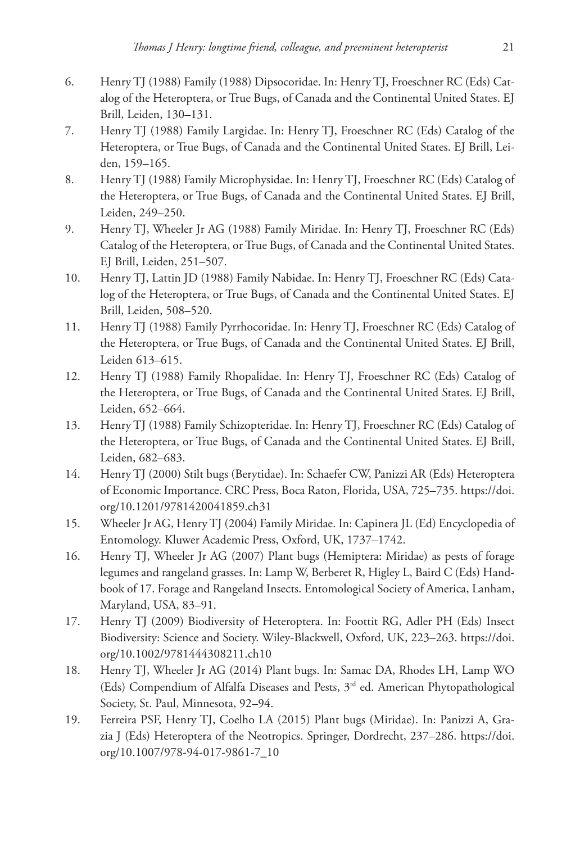- 6. Henry TJ (1988) Family (1988) Dipsocoridae. In: Henry TJ, Froeschner RC (Eds) Catalog of the Heteroptera, or True Bugs, of Canada and the Continental United States. EJ Brill, Leiden, 130–131.
- 7. Henry TJ (1988) Family Largidae. In: Henry TJ, Froeschner RC (Eds) Catalog of the Heteroptera, or True Bugs, of Canada and the Continental United States. EJ Brill, Leiden, 159–165.
- 8. Henry TJ (1988) Family Microphysidae. In: Henry TJ, Froeschner RC (Eds) Catalog of the Heteroptera, or True Bugs, of Canada and the Continental United States. EJ Brill, Leiden, 249–250.
- 9. Henry TJ, Wheeler Jr AG (1988) Family Miridae. In: Henry TJ, Froeschner RC (Eds) Catalog of the Heteroptera, or True Bugs, of Canada and the Continental United States. EJ Brill, Leiden, 251–507.
- 10. Henry TJ, Lattin JD (1988) Family Nabidae. In: Henry TJ, Froeschner RC (Eds) Catalog of the Heteroptera, or True Bugs, of Canada and the Continental United States. EJ Brill, Leiden, 508–520.
- 11. Henry TJ (1988) Family Pyrrhocoridae. In: Henry TJ, Froeschner RC (Eds) Catalog of the Heteroptera, or True Bugs, of Canada and the Continental United States. EJ Brill, Leiden 613–615.
- 12. Henry TJ (1988) Family Rhopalidae. In: Henry TJ, Froeschner RC (Eds) Catalog of the Heteroptera, or True Bugs, of Canada and the Continental United States. EJ Brill, Leiden, 652–664.
- 13. Henry TJ (1988) Family Schizopteridae. In: Henry TJ, Froeschner RC (Eds) Catalog of the Heteroptera, or True Bugs, of Canada and the Continental United States. EJ Brill, Leiden, 682–683.
- 14. Henry TJ (2000) Stilt bugs (Berytidae). In: Schaefer CW, Panizzi AR (Eds) Heteroptera of Economic Importance. CRC Press, Boca Raton, Florida, USA, 725–735. [https://doi.](https://doi.org/10.1201/9781420041859.ch31) [org/10.1201/9781420041859.ch31](https://doi.org/10.1201/9781420041859.ch31)
- 15. Wheeler Jr AG, Henry TJ (2004) Family Miridae. In: Capinera JL (Ed) Encyclopedia of Entomology. Kluwer Academic Press, Oxford, UK, 1737–1742.
- 16. Henry TJ, Wheeler Jr AG (2007) Plant bugs (Hemiptera: Miridae) as pests of forage legumes and rangeland grasses. In: Lamp W, Berberet R, Higley L, Baird C (Eds) Handbook of 17. Forage and Rangeland Insects. Entomological Society of America, Lanham, Maryland, USA, 83–91.
- 17. Henry TJ (2009) Biodiversity of Heteroptera. In: Foottit RG, Adler PH (Eds) Insect Biodiversity: Science and Society. Wiley-Blackwell, Oxford, UK, 223–263. [https://doi.](https://doi.org/10.1002/9781444308211.ch10) [org/10.1002/9781444308211.ch10](https://doi.org/10.1002/9781444308211.ch10)
- 18. Henry TJ, Wheeler Jr AG (2014) Plant bugs. In: Samac DA, Rhodes LH, Lamp WO (Eds) Compendium of Alfalfa Diseases and Pests, 3rd ed. American Phytopathological Society, St. Paul, Minnesota, 92–94.
- 19. Ferreira PSF, Henry TJ, Coelho LA (2015) Plant bugs (Miridae). In: Panizzi A, Grazia J (Eds) Heteroptera of the Neotropics. Springer, Dordrecht, 237–286. [https://doi.](https://doi.org/10.1007/978-94-017-9861-7_10) [org/10.1007/978-94-017-9861-7\\_10](https://doi.org/10.1007/978-94-017-9861-7_10)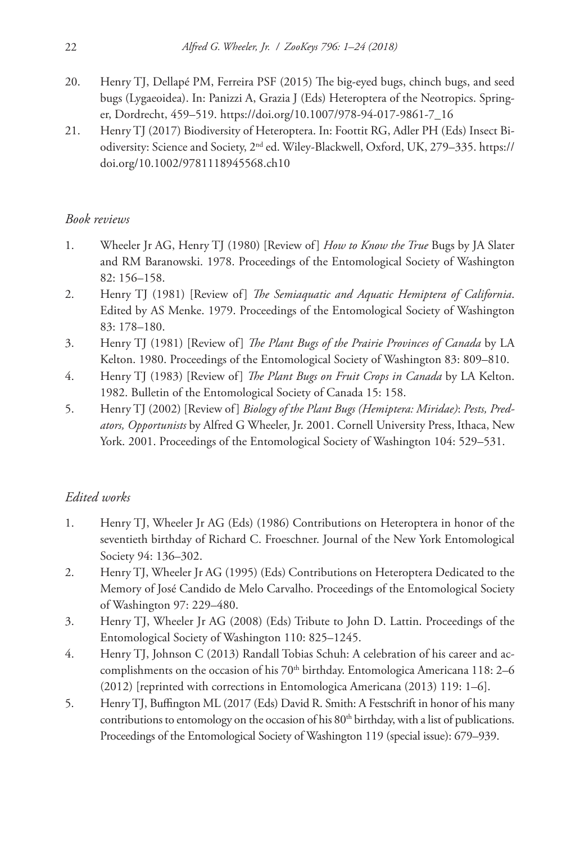- 20. Henry TJ, Dellapé PM, Ferreira PSF (2015) The big-eyed bugs, chinch bugs, and seed bugs (Lygaeoidea). In: Panizzi A, Grazia J (Eds) Heteroptera of the Neotropics. Springer, Dordrecht, 459–519. [https://doi.org/10.1007/978-94-017-9861-7\\_16](https://doi.org/10.1007/978-94-017-9861-7_16)
- 21. Henry TJ (2017) Biodiversity of Heteroptera. In: Foottit RG, Adler PH (Eds) Insect Biodiversity: Science and Society, 2nd ed. Wiley-Blackwell, Oxford, UK, 279–335. [https://](https://doi.org/10.1002/9781118945568.ch10) [doi.org/10.1002/9781118945568.ch10](https://doi.org/10.1002/9781118945568.ch10)

## *Book reviews*

- 1. Wheeler Jr AG, Henry TJ (1980) [Review of] *How to Know the True* Bugs by JA Slater and RM Baranowski. 1978. Proceedings of the Entomological Society of Washington 82: 156–158.
- 2. Henry TJ (1981) [Review of] *The Semiaquatic and Aquatic Hemiptera of California*. Edited by AS Menke. 1979. Proceedings of the Entomological Society of Washington 83: 178–180.
- 3. Henry TJ (1981) [Review of] *The Plant Bugs of the Prairie Provinces of Canada* by LA Kelton. 1980. Proceedings of the Entomological Society of Washington 83: 809–810.
- 4. Henry TJ (1983) [Review of] *The Plant Bugs on Fruit Crops in Canada* by LA Kelton. 1982. Bulletin of the Entomological Society of Canada 15: 158.
- 5. Henry TJ (2002) [Review of] *Biology of the Plant Bugs (Hemiptera: Miridae)*: *Pests, Predators, Opportunists* by Alfred G Wheeler, Jr. 2001. Cornell University Press, Ithaca, New York. 2001. Proceedings of the Entomological Society of Washington 104: 529–531.

# *Edited works*

- 1. Henry TJ, Wheeler Jr AG (Eds) (1986) Contributions on Heteroptera in honor of the seventieth birthday of Richard C. Froeschner. Journal of the New York Entomological Society 94: 136–302.
- 2. Henry TJ, Wheeler Jr AG (1995) (Eds) Contributions on Heteroptera Dedicated to the Memory of José Candido de Melo Carvalho. Proceedings of the Entomological Society of Washington 97: 229–480.
- 3. Henry TJ, Wheeler Jr AG (2008) (Eds) Tribute to John D. Lattin. Proceedings of the Entomological Society of Washington 110: 825–1245.
- 4. Henry TJ, Johnson C (2013) Randall Tobias Schuh: A celebration of his career and accomplishments on the occasion of his  $70<sup>th</sup>$  birthday. Entomologica Americana 118: 2–6 (2012) [reprinted with corrections in Entomologica Americana (2013) 119: 1–6].
- 5. Henry TJ, Buffington ML (2017 (Eds) David R. Smith: A Festschrift in honor of his many contributions to entomology on the occasion of his 80<sup>th</sup> birthday, with a list of publications. Proceedings of the Entomological Society of Washington 119 (special issue): 679–939.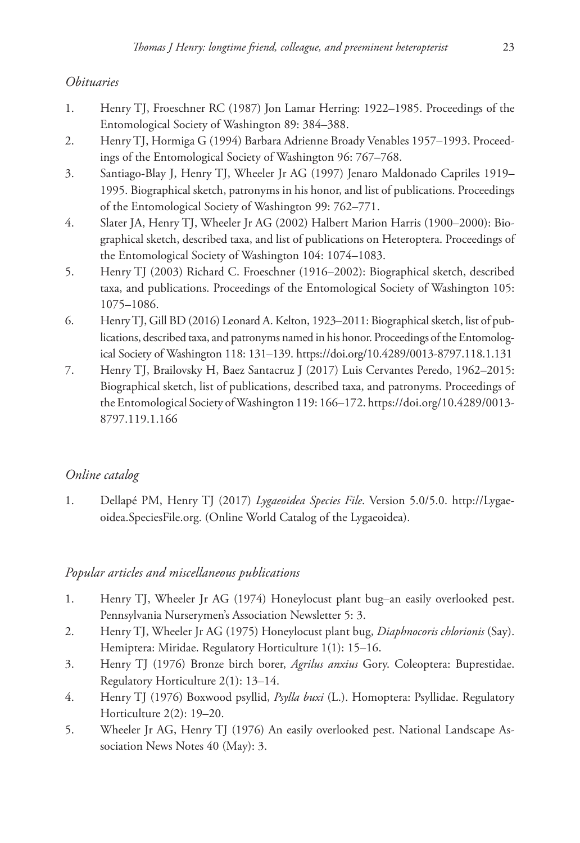## *Obituaries*

- 1. Henry TJ, Froeschner RC (1987) Jon Lamar Herring: 1922–1985. Proceedings of the Entomological Society of Washington 89: 384–388.
- 2. Henry TJ, Hormiga G (1994) Barbara Adrienne Broady Venables 1957–1993. Proceedings of the Entomological Society of Washington 96: 767–768.
- 3. Santiago-Blay J, Henry TJ, Wheeler Jr AG (1997) Jenaro Maldonado Capriles 1919– 1995. Biographical sketch, patronyms in his honor, and list of publications. Proceedings of the Entomological Society of Washington 99: 762–771.
- 4. Slater JA, Henry TJ, Wheeler Jr AG (2002) Halbert Marion Harris (1900–2000): Biographical sketch, described taxa, and list of publications on Heteroptera. Proceedings of the Entomological Society of Washington 104: 1074–1083.
- 5. Henry TJ (2003) Richard C. Froeschner (1916–2002): Biographical sketch, described taxa, and publications. Proceedings of the Entomological Society of Washington 105: 1075–1086.
- 6. Henry TJ, Gill BD (2016) Leonard A. Kelton, 1923–2011: Biographical sketch, list of publications, described taxa, and patronyms named in his honor. Proceedings of the Entomological Society of Washington 118: 131–139.<https://doi.org/10.4289/0013-8797.118.1.131>
- 7. Henry TJ, Brailovsky H, Baez Santacruz J (2017) Luis Cervantes Peredo, 1962–2015: Biographical sketch, list of publications, described taxa, and patronyms. Proceedings of the Entomological Society of Washington 119: 166–172. [https://doi.org/10.4289/0013-](https://doi.org/10.4289/0013-8797.119.1.166) [8797.119.1.166](https://doi.org/10.4289/0013-8797.119.1.166)

# *Online catalog*

1. Dellapé PM, Henry TJ (2017) *Lygaeoidea Species File*. Version 5.0/5.0. [http://Lygae](http://Lygaeoidea.SpeciesFile.org)[oidea.SpeciesFile.org](http://Lygaeoidea.SpeciesFile.org). (Online World Catalog of the Lygaeoidea).

## *Popular articles and miscellaneous publications*

- 1. Henry TJ, Wheeler Jr AG (1974) Honeylocust plant bug–an easily overlooked pest. Pennsylvania Nurserymen's Association Newsletter 5: 3.
- 2. Henry TJ, Wheeler Jr AG (1975) Honeylocust plant bug, *Diaphnocoris chlorionis* (Say). Hemiptera: Miridae. Regulatory Horticulture 1(1): 15–16.
- 3. Henry TJ (1976) Bronze birch borer, *Agrilus anxius* Gory. Coleoptera: Buprestidae. Regulatory Horticulture 2(1): 13–14.
- 4. Henry TJ (1976) Boxwood psyllid, *Psylla buxi* (L.). Homoptera: Psyllidae. Regulatory Horticulture 2(2): 19–20.
- 5. Wheeler Jr AG, Henry TJ (1976) An easily overlooked pest. National Landscape Association News Notes 40 (May): 3.